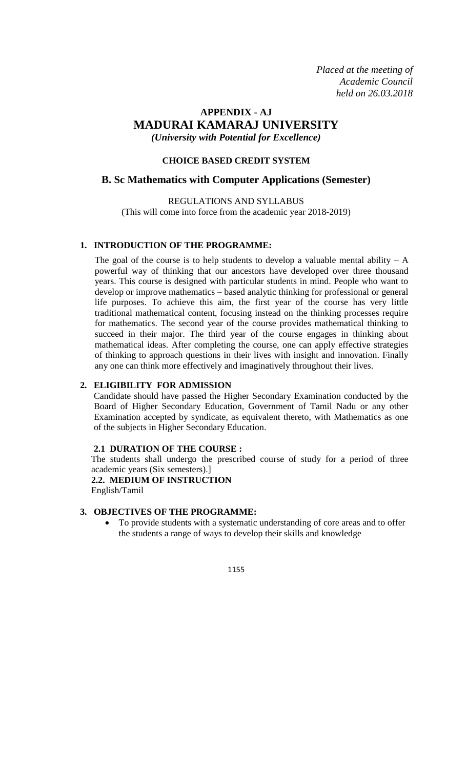*Placed at the meeting of Academic Council held on 26.03.2018*

## **APPENDIX - AJ MADURAI KAMARAJ UNIVERSITY** *(University with Potential for Excellence)*

#### **CHOICE BASED CREDIT SYSTEM**

#### **B. Sc Mathematics with Computer Applications (Semester)**

REGULATIONS AND SYLLABUS (This will come into force from the academic year 2018-2019)

#### **1. INTRODUCTION OF THE PROGRAMME:**

The goal of the course is to help students to develop a valuable mental ability  $- A$ powerful way of thinking that our ancestors have developed over three thousand years. This course is designed with particular students in mind. People who want to develop or improve mathematics – based analytic thinking for professional or general life purposes. To achieve this aim, the first year of the course has very little traditional mathematical content, focusing instead on the thinking processes require for mathematics. The second year of the course provides mathematical thinking to succeed in their major. The third year of the course engages in thinking about mathematical ideas. After completing the course, one can apply effective strategies of thinking to approach questions in their lives with insight and innovation. Finally any one can think more effectively and imaginatively throughout their lives.

#### **2. ELIGIBILITY FOR ADMISSION**

Candidate should have passed the Higher Secondary Examination conducted by the Board of Higher Secondary Education, Government of Tamil Nadu or any other Examination accepted by syndicate, as equivalent thereto, with Mathematics as one of the subjects in Higher Secondary Education.

#### **2.1 DURATION OF THE COURSE :**

The students shall undergo the prescribed course of study for a period of three academic years (Six semesters).]

**2.2. MEDIUM OF INSTRUCTION**  English/Tamil

### **3. OBJECTIVES OF THE PROGRAMME:**

 To provide students with a systematic understanding of core areas and to offer the students a range of ways to develop their skills and knowledge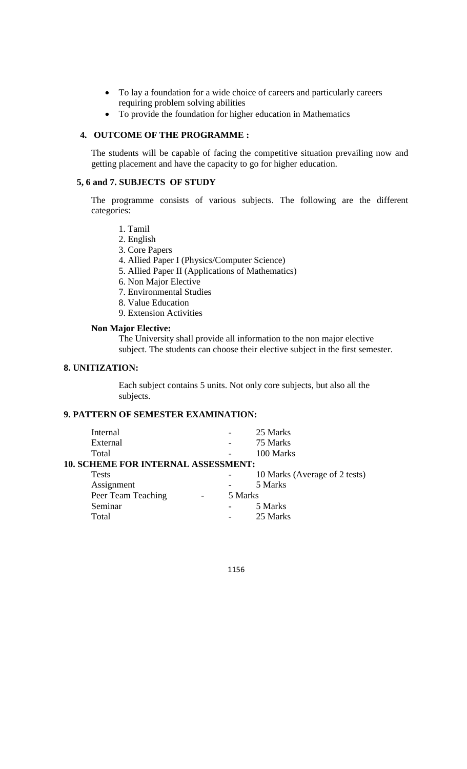- To lay a foundation for a wide choice of careers and particularly careers requiring problem solving abilities
- To provide the foundation for higher education in Mathematics

#### **4. OUTCOME OF THE PROGRAMME :**

The students will be capable of facing the competitive situation prevailing now and getting placement and have the capacity to go for higher education.

#### **5, 6 and 7. SUBJECTS OF STUDY**

The programme consists of various subjects. The following are the different categories:

- 1. Tamil
- 2. English
- 3. Core Papers
- 4. Allied Paper I (Physics/Computer Science)
- 5. Allied Paper II (Applications of Mathematics)
- 6. Non Major Elective
- 7. Environmental Studies
- 8. Value Education
- 9. Extension Activities

#### **Non Major Elective:**

The University shall provide all information to the non major elective subject. The students can choose their elective subject in the first semester.

#### **8. UNITIZATION:**

Each subject contains 5 units. Not only core subjects, but also all the subjects.

#### **9. PATTERN OF SEMESTER EXAMINATION:**

| Internal                                   |         | 25 Marks                      |
|--------------------------------------------|---------|-------------------------------|
| External                                   |         | 75 Marks                      |
| Total                                      |         | 100 Marks                     |
| <b>10. SCHEME FOR INTERNAL ASSESSMENT:</b> |         |                               |
| <b>Tests</b>                               |         | 10 Marks (Average of 2 tests) |
| Assignment                                 |         | 5 Marks                       |
| Peer Team Teaching                         | 5 Marks |                               |
| Seminar                                    |         | 5 Marks                       |
| Total                                      |         | 25 Marks                      |
|                                            |         |                               |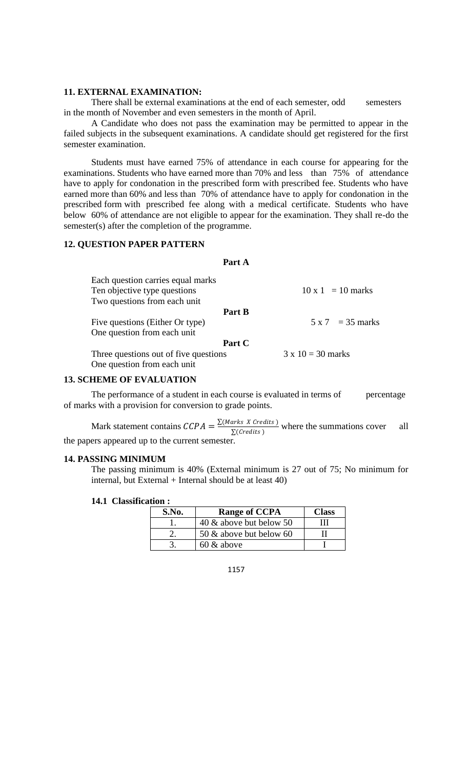#### **11. EXTERNAL EXAMINATION:**

There shall be external examinations at the end of each semester, odd semesters in the month of November and even semesters in the month of April.

A Candidate who does not pass the examination may be permitted to appear in the failed subjects in the subsequent examinations. A candidate should get registered for the first semester examination.

Students must have earned 75% of attendance in each course for appearing for the examinations. Students who have earned more than 70% and less than 75% of attendance have to apply for condonation in the prescribed form with prescribed fee. Students who have earned more than 60% and less than 70% of attendance have to apply for condonation in the prescribed form with prescribed fee along with a medical certificate. Students who have below 60% of attendance are not eligible to appear for the examination. They shall re-do the semester(s) after the completion of the programme.

#### **12. QUESTION PAPER PATTERN**

#### **Part A**

| Each question carries equal marks<br>Ten objective type questions<br>Two questions from each unit | $10 \times 1 = 10$ marks |
|---------------------------------------------------------------------------------------------------|--------------------------|
| Part B                                                                                            |                          |
| Five questions (Either Or type)                                                                   | $5 \times 7 = 35$ marks  |
| One question from each unit                                                                       |                          |
| Part C                                                                                            |                          |
| Three questions out of five questions                                                             | $3 \times 10 = 30$ marks |
| One question from each unit                                                                       |                          |

#### **13. SCHEME OF EVALUATION**

The performance of a student in each course is evaluated in terms of percentage of marks with a provision for conversion to grade points.

Mark statement contains  $\text{CCPA} = \frac{\sum (Marks \ X \ \text{Credits})}{\sum (Custits)}$  $\sum (Credits)$  where the summations cover all the papers appeared up to the current semester.

#### **14. PASSING MINIMUM**

The passing minimum is 40% (External minimum is 27 out of 75; No minimum for internal, but External + Internal should be at least  $40$ )

#### **14.1 Classification :**

| S.No. | <b>Range of CCPA</b>    | Class |
|-------|-------------------------|-------|
|       | 40 & above but below 50 |       |
|       | 50 & above but below 60 |       |
|       | $60 \&$ above           |       |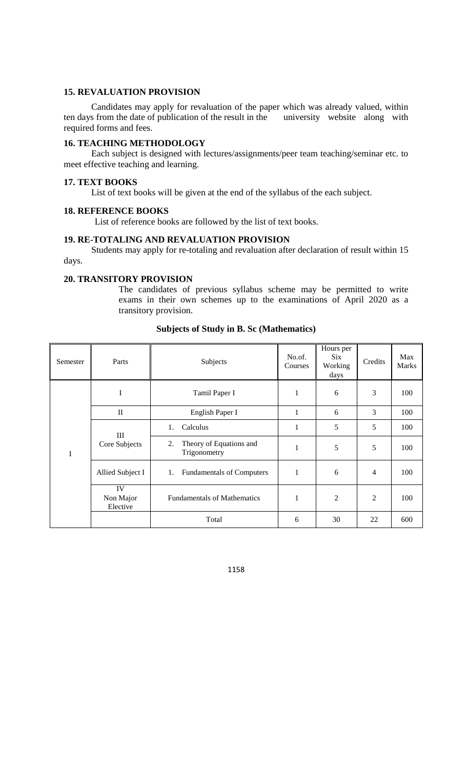#### **15. REVALUATION PROVISION**

Candidates may apply for revaluation of the paper which was already valued, within ten days from the date of publication of the result in the university website along with required forms and fees.

#### **16. TEACHING METHODOLOGY**

Each subject is designed with lectures/assignments/peer team teaching/seminar etc. to meet effective teaching and learning.

#### **17. TEXT BOOKS**

List of text books will be given at the end of the syllabus of the each subject.

#### **18. REFERENCE BOOKS**

List of reference books are followed by the list of text books.

#### **19. RE-TOTALING AND REVALUATION PROVISION**

Students may apply for re-totaling and revaluation after declaration of result within 15 days.

#### **20. TRANSITORY PROVISION**

The candidates of previous syllabus scheme may be permitted to write exams in their own schemes up to the examinations of April 2020 as a transitory provision.

| Semester | Parts                       | Subjects                                      | No.of.<br>Courses | Hours per<br>Six.<br>Working<br>days | Credits        | Max<br><b>Marks</b> |
|----------|-----------------------------|-----------------------------------------------|-------------------|--------------------------------------|----------------|---------------------|
|          | I                           | Tamil Paper I                                 | 1                 | 6                                    | 3              | 100                 |
|          | $\mathbf{I}$                | English Paper I                               | 1                 | 6                                    | 3              | 100                 |
|          | Ш<br>Core Subjects          | Calculus<br>1.                                | 1                 | 5                                    | 5              | 100                 |
| I        |                             | Theory of Equations and<br>2.<br>Trigonometry | 1                 | 5                                    | 5              | 100                 |
|          | Allied Subject I            | <b>Fundamentals of Computers</b><br>1.        | 1                 | 6                                    | $\overline{4}$ | 100                 |
|          | IV<br>Non Major<br>Elective | <b>Fundamentals of Mathematics</b>            | 1                 | 2                                    | 2              | 100                 |
|          |                             | Total                                         | 6                 | 30                                   | 22             | 600                 |

#### **Subjects of Study in B. Sc (Mathematics)**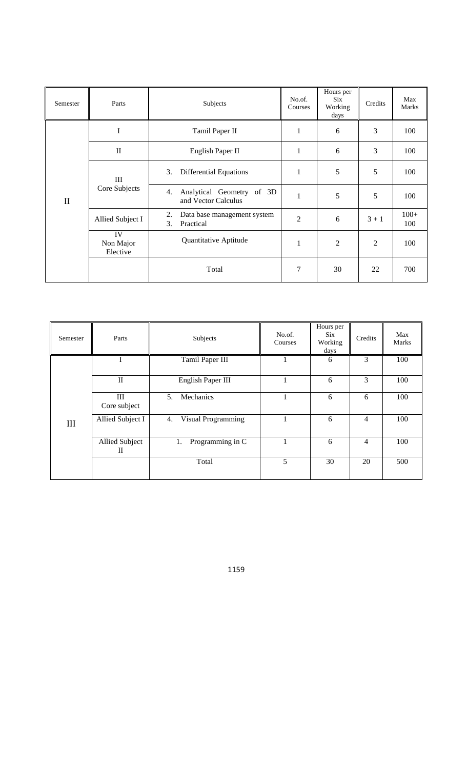| Semester     | Parts                       | Subjects                                               | No.of.<br>Courses | Hours per<br><b>Six</b><br>Working<br>days | Credits        | Max<br>Marks  |
|--------------|-----------------------------|--------------------------------------------------------|-------------------|--------------------------------------------|----------------|---------------|
|              | I                           | Tamil Paper II                                         | 1                 | 6                                          | 3              | 100           |
|              | $\rm II$                    | English Paper II                                       |                   | 6                                          | 3              | 100           |
|              | III<br>Core Subjects        | <b>Differential Equations</b><br>3.                    | 1                 | 5                                          | 5              | 100           |
| $\mathbf{I}$ |                             | Analytical Geometry of 3D<br>4.<br>and Vector Calculus | $\mathbf{1}$      | 5                                          | 5              | 100           |
|              | Allied Subject I            | 2.<br>Data base management system<br>3.<br>Practical   | $\overline{2}$    | 6                                          | $3 + 1$        | $100+$<br>100 |
|              | IV<br>Non Major<br>Elective | Quantitative Aptitude                                  | 1                 | $\overline{2}$                             | $\overline{2}$ | 100           |
|              |                             | Total                                                  | 7                 | 30                                         | 22             | 700           |

| Semester | Parts               | Subjects                 | No.of.<br>Courses | Hours per<br><b>Six</b><br>Working<br>days | Credits        | Max<br><b>Marks</b> |
|----------|---------------------|--------------------------|-------------------|--------------------------------------------|----------------|---------------------|
|          |                     | Tamil Paper III          |                   | 6                                          | 3              | 100                 |
|          | $\mathbf{I}$        | English Paper III        |                   | 6                                          | 3              | 100                 |
| III      | Ш<br>Core subject   | Mechanics<br>5.          | -1                | 6                                          | 6              | 100                 |
|          | Allied Subject I    | Visual Programming<br>4. |                   | 6                                          | $\overline{4}$ | 100                 |
|          | Allied Subject<br>П | Programming in C<br>1.   |                   | 6                                          | $\overline{4}$ | 100                 |
|          |                     | Total                    | 5                 | 30                                         | 20             | 500                 |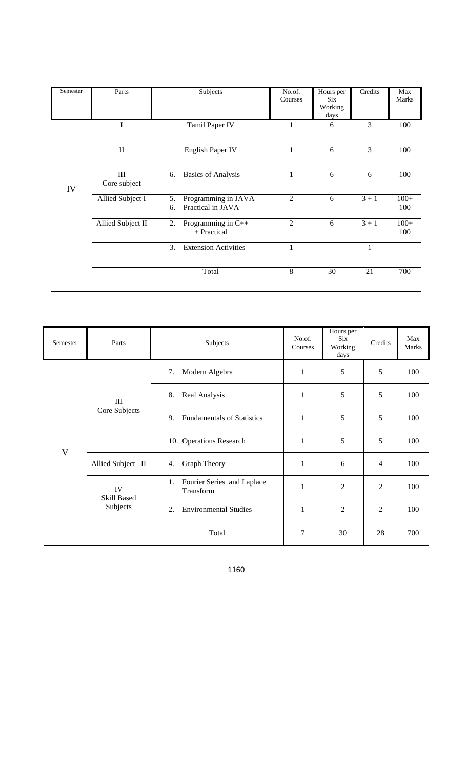| Semester | Parts               | Subjects                                             | No.of.<br>Courses | Hours per<br>Six<br>Working<br>days | Credits | Max<br><b>Marks</b> |
|----------|---------------------|------------------------------------------------------|-------------------|-------------------------------------|---------|---------------------|
| IV       | I                   | Tamil Paper IV                                       | 1                 | 6                                   | 3       | 100                 |
|          | $\mathbf{I}$        | English Paper IV                                     | 1                 | 6                                   | 3       | 100                 |
|          | III<br>Core subject | <b>Basics of Analysis</b><br>6.                      | 1                 | 6                                   | 6       | 100                 |
|          | Allied Subject I    | Programming in JAVA<br>5.<br>Practical in JAVA<br>6. | $\overline{2}$    | 6                                   | $3 + 1$ | $100+$<br>100       |
|          | Allied Subject II   | Programming in C++<br>2.<br>+ Practical              | $\overline{2}$    | 6                                   | $3 + 1$ | $100+$<br>100       |
|          |                     | <b>Extension Activities</b><br>3.                    | 1                 |                                     | 1       |                     |
|          |                     | Total                                                | 8                 | 30                                  | 21      | 700                 |

| Semester                  | Parts                         | Subjects                                      | No.of.<br>Courses | Hours per<br>Six<br>Working<br>days | Credits        | Max<br>Marks |
|---------------------------|-------------------------------|-----------------------------------------------|-------------------|-------------------------------------|----------------|--------------|
|                           | III<br>Core Subjects          | Modern Algebra<br>7.                          | 1                 | 5                                   | 5              | 100          |
|                           |                               | Real Analysis<br>8.                           | 1                 | 5                                   | 5              | 100          |
|                           |                               | 9.<br><b>Fundamentals of Statistics</b>       | 1                 | 5                                   | 5              | 100          |
| $\ensuremath{\mathsf{V}}$ |                               | 10. Operations Research                       | 1                 | 5                                   | 5              | 100          |
|                           | Allied Subject II             | Graph Theory<br>4.                            | 1                 | 6                                   | 4              | 100          |
|                           | IV<br>Skill Based<br>Subjects | 1.<br>Fourier Series and Laplace<br>Transform | 1                 | $\overline{2}$                      | $\overline{c}$ | 100          |
|                           |                               | <b>Environmental Studies</b><br>2.            | 1                 | 2                                   | $\overline{c}$ | 100          |
|                           |                               | Total                                         | 7                 | 30                                  | 28             | 700          |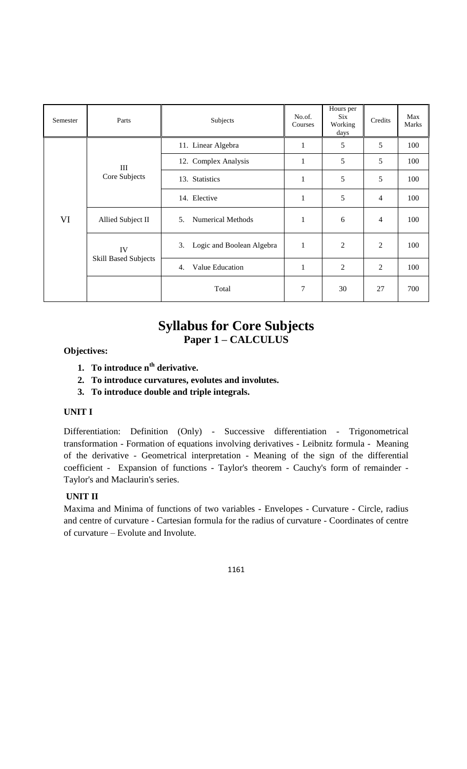| Semester | Parts                             | Subjects                                   | No.of.<br>Courses | Hours per<br>Six<br>Working<br>days | Credits        | Max<br>Marks |
|----------|-----------------------------------|--------------------------------------------|-------------------|-------------------------------------|----------------|--------------|
|          |                                   | 11. Linear Algebra                         | $\mathbf{1}$      | 5                                   | 5              | 100          |
|          | Ш<br>Core Subjects                | 12. Complex Analysis                       | $\mathbf{1}$      | 5                                   | 5              | 100          |
|          |                                   | 13. Statistics                             | $\mathbf{1}$      | 5                                   | 5              | 100          |
|          |                                   | 14. Elective                               | 1                 | 5                                   | $\overline{4}$ | 100          |
| VI       | Allied Subject II                 | <b>Numerical Methods</b><br>5 <sub>1</sub> | 1                 | 6                                   | 4              | 100          |
|          | IV<br><b>Skill Based Subjects</b> | Logic and Boolean Algebra<br>3.            | 1                 | 2                                   | $\overline{2}$ | 100          |
|          |                                   | Value Education<br>4.                      | $\mathbf 1$       | 2                                   | $\overline{2}$ | 100          |
|          |                                   | Total                                      | 7                 | 30                                  | 27             | 700          |

## **Syllabus for Core Subjects Paper 1 – CALCULUS**

## **Objectives:**

- **1. To introduce nth derivative.**
- **2. To introduce curvatures, evolutes and involutes.**
- **3. To introduce double and triple integrals.**

### **UNIT I**

Differentiation: Definition (Only) - Successive differentiation - Trigonometrical transformation - Formation of equations involving derivatives - Leibnitz formula - Meaning of the derivative - Geometrical interpretation - Meaning of the sign of the differential coefficient - Expansion of functions - Taylor's theorem - Cauchy's form of remainder - Taylor's and Maclaurin's series.

#### **UNIT II**

Maxima and Minima of functions of two variables - Envelopes - Curvature - Circle, radius and centre of curvature - Cartesian formula for the radius of curvature - Coordinates of centre of curvature – Evolute and Involute.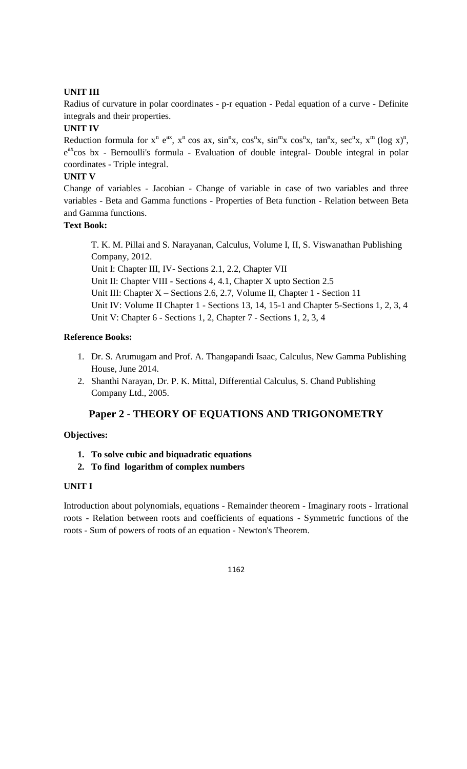## **UNIT III**

Radius of curvature in polar coordinates - p-r equation - Pedal equation of a curve - Definite integrals and their properties.

## **UNIT IV**

Reduction formula for  $x^n$  e<sup>ax</sup>,  $x^n$  cos ax,  $\sin^n x$ ,  $\cos^n x$ ,  $\sin^m x$  cos<sup>n</sup>x,  $\tan^n x$ ,  $\sec^n x$ ,  $x^m$  (log x)<sup>n</sup>, e<sup>ax</sup>cos bx - Bernoulli's formula - Evaluation of double integral- Double integral in polar coordinates - Triple integral.

## **UNIT V**

Change of variables - Jacobian - Change of variable in case of two variables and three variables - Beta and Gamma functions - Properties of Beta function - Relation between Beta and Gamma functions.

## **Text Book:**

T. K. M. Pillai and S. Narayanan, Calculus, Volume I, II, S. Viswanathan Publishing Company, 2012. Unit I: Chapter III, IV- Sections 2.1, 2.2, Chapter VII Unit II: Chapter VIII - Sections 4, 4.1, Chapter X upto Section 2.5 Unit III: Chapter X – Sections 2.6, 2.7, Volume II, Chapter 1 - Section 11 Unit IV: Volume II Chapter 1 - Sections 13, 14, 15-1 and Chapter 5-Sections 1, 2, 3, 4 Unit V: Chapter 6 - Sections 1, 2, Chapter 7 - Sections 1, 2, 3, 4

## **Reference Books:**

- 1. Dr. S. Arumugam and Prof. A. Thangapandi Isaac, Calculus, New Gamma Publishing House, June 2014.
- 2. Shanthi Narayan, Dr. P. K. Mittal, Differential Calculus, S. Chand Publishing Company Ltd., 2005.

## **Paper 2 - THEORY OF EQUATIONS AND TRIGONOMETRY**

#### **Objectives:**

- **1. To solve cubic and biquadratic equations**
- **2. To find logarithm of complex numbers**

#### **UNIT I**

Introduction about polynomials, equations - Remainder theorem - Imaginary roots - Irrational roots - Relation between roots and coefficients of equations - Symmetric functions of the roots - Sum of powers of roots of an equation - Newton's Theorem.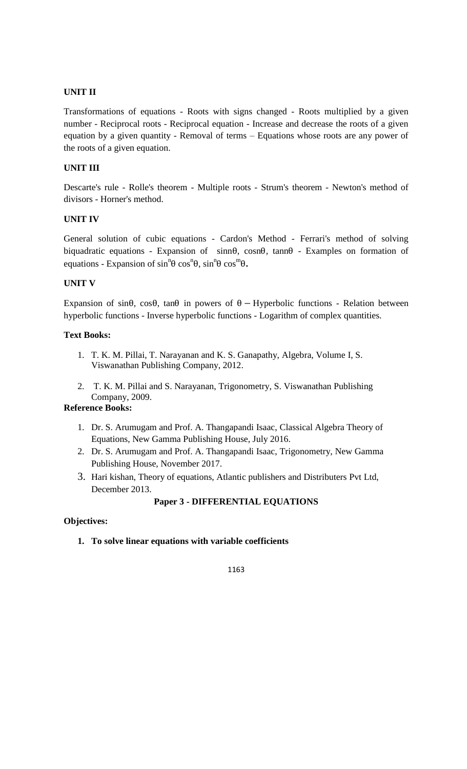Transformations of equations - Roots with signs changed - Roots multiplied by a given number - Reciprocal roots - Reciprocal equation - Increase and decrease the roots of a given equation by a given quantity - Removal of terms – Equations whose roots are any power of the roots of a given equation.

## **UNIT III**

Descarte's rule - Rolle's theorem - Multiple roots - Strum's theorem - Newton's method of divisors - Horner's method.

#### **UNIT IV**

General solution of cubic equations - Cardon's Method - Ferrari's method of solving biquadratic equations - Expansion of sinnθ, cosnθ, tannθ - Examples on formation of equations - Expansion of  $\sin^{n}\theta \cos^{n}\theta$ ,  $\sin^{n}\theta \cos^{m}\theta$ .

## **UNIT V**

Expansion of sin $\theta$ , cos $\theta$ , tan $\theta$  in powers of  $\theta$  – Hyperbolic functions - Relation between hyperbolic functions - Inverse hyperbolic functions - Logarithm of complex quantities.

#### **Text Books:**

- 1. T. K. M. Pillai, T. Narayanan and K. S. Ganapathy, Algebra, Volume I, S. Viswanathan Publishing Company, 2012.
- 2. T. K. M. Pillai and S. Narayanan, Trigonometry, S. Viswanathan Publishing Company, 2009.

### **Reference Books:**

- 1. Dr. S. Arumugam and Prof. A. Thangapandi Isaac, Classical Algebra Theory of Equations, New Gamma Publishing House, July 2016.
- 2. Dr. S. Arumugam and Prof. A. Thangapandi Isaac, Trigonometry, New Gamma Publishing House, November 2017.
- 3. Hari kishan, Theory of equations, Atlantic publishers and Distributers Pvt Ltd, December 2013.

## **Paper 3 - DIFFERENTIAL EQUATIONS**

#### **Objectives:**

**1. To solve linear equations with variable coefficients**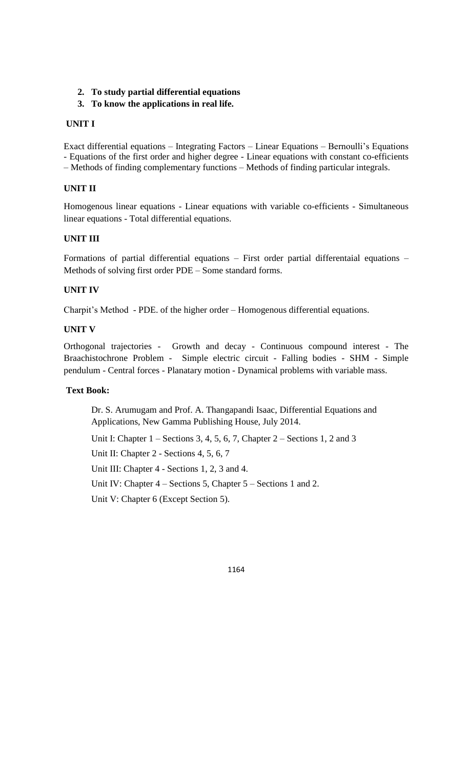## **2. To study partial differential equations**

## **3. To know the applications in real life.**

## **UNIT I**

Exact differential equations – Integrating Factors – Linear Equations – Bernoulli's Equations - Equations of the first order and higher degree - Linear equations with constant co-efficients – Methods of finding complementary functions – Methods of finding particular integrals.

## **UNIT II**

Homogenous linear equations - Linear equations with variable co-efficients - Simultaneous linear equations - Total differential equations.

## **UNIT III**

Formations of partial differential equations – First order partial differentaial equations – Methods of solving first order PDE – Some standard forms.

#### **UNIT IV**

Charpit's Method - PDE. of the higher order – Homogenous differential equations.

#### **UNIT V**

Orthogonal trajectories - Growth and decay - Continuous compound interest - The Braachistochrone Problem - Simple electric circuit - Falling bodies - SHM - Simple pendulum - Central forces - Planatary motion - Dynamical problems with variable mass.

## **Text Book:**

Dr. S. Arumugam and Prof. A. Thangapandi Isaac, Differential Equations and Applications, New Gamma Publishing House, July 2014.

Unit I: Chapter  $1 -$  Sections 3, 4, 5, 6, 7, Chapter  $2 -$  Sections 1, 2 and 3

Unit II: Chapter 2 - Sections 4, 5, 6, 7

Unit III: Chapter 4 - Sections 1, 2, 3 and 4.

Unit IV: Chapter 4 – Sections 5, Chapter 5 – Sections 1 and 2.

Unit V: Chapter 6 (Except Section 5).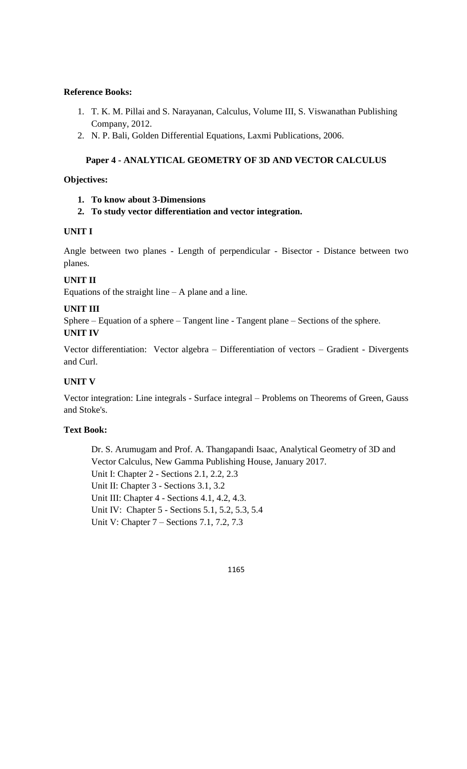- 1. T. K. M. Pillai and S. Narayanan, Calculus, Volume III, S. Viswanathan Publishing Company, 2012.
- 2. N. P. Bali, Golden Differential Equations, Laxmi Publications, 2006.

## **Paper 4 - ANALYTICAL GEOMETRY OF 3D AND VECTOR CALCULUS**

#### **Objectives:**

- **1. To know about 3-Dimensions**
- **2. To study vector differentiation and vector integration.**

#### **UNIT I**

Angle between two planes - Length of perpendicular - Bisector - Distance between two planes.

## **UNIT II**

Equations of the straight line  $- A$  plane and a line.

#### **UNIT III**

Sphere – Equation of a sphere – Tangent line - Tangent plane – Sections of the sphere. **UNIT IV**

Vector differentiation: Vector algebra – Differentiation of vectors – Gradient - Divergents and Curl.

### **UNIT V**

Vector integration: Line integrals - Surface integral – Problems on Theorems of Green, Gauss and Stoke's.

#### **Text Book:**

Dr. S. Arumugam and Prof. A. Thangapandi Isaac, Analytical Geometry of 3D and Vector Calculus, New Gamma Publishing House, January 2017. Unit I: Chapter 2 - Sections 2.1, 2.2, 2.3 Unit II: Chapter 3 - Sections 3.1, 3.2 Unit III: Chapter 4 - Sections 4.1, 4.2, 4.3. Unit IV: Chapter 5 - Sections 5.1, 5.2, 5.3, 5.4 Unit V: Chapter 7 – Sections 7.1, 7.2, 7.3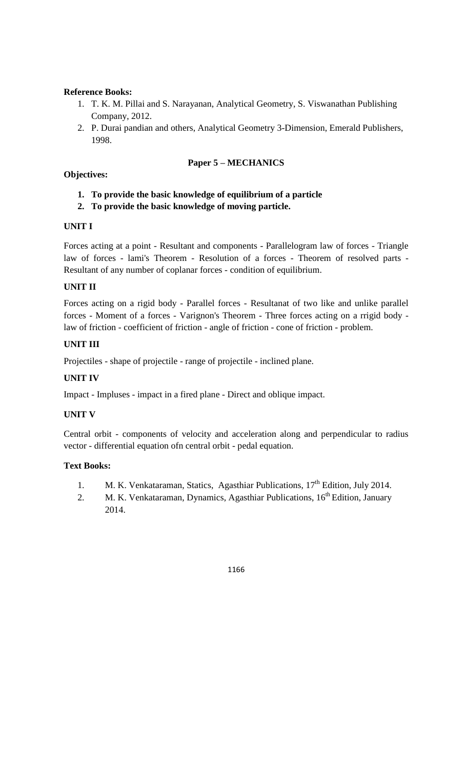- 1. T. K. M. Pillai and S. Narayanan, Analytical Geometry, S. Viswanathan Publishing Company, 2012.
- 2. P. Durai pandian and others, Analytical Geometry 3-Dimension, Emerald Publishers, 1998.

## **Paper 5 – MECHANICS**

### **Objectives:**

- **1. To provide the basic knowledge of equilibrium of a particle**
- **2. To provide the basic knowledge of moving particle.**

#### **UNIT I**

Forces acting at a point - Resultant and components - Parallelogram law of forces - Triangle law of forces - lami's Theorem - Resolution of a forces - Theorem of resolved parts - Resultant of any number of coplanar forces - condition of equilibrium.

## **UNIT II**

Forces acting on a rigid body - Parallel forces - Resultanat of two like and unlike parallel forces - Moment of a forces - Varignon's Theorem - Three forces acting on a rrigid body law of friction - coefficient of friction - angle of friction - cone of friction - problem.

## **UNIT III**

Projectiles - shape of projectile - range of projectile - inclined plane.

## **UNIT IV**

Impact - Impluses - impact in a fired plane - Direct and oblique impact.

#### **UNIT V**

Central orbit - components of velocity and acceleration along and perpendicular to radius vector - differential equation ofn central orbit - pedal equation.

#### **Text Books:**

- 1. M. K. Venkataraman, Statics, Agasthiar Publications, 17<sup>th</sup> Edition, July 2014.
- 2. M. K. Venkataraman, Dynamics, Agasthiar Publications, 16<sup>th</sup> Edition, January 2014.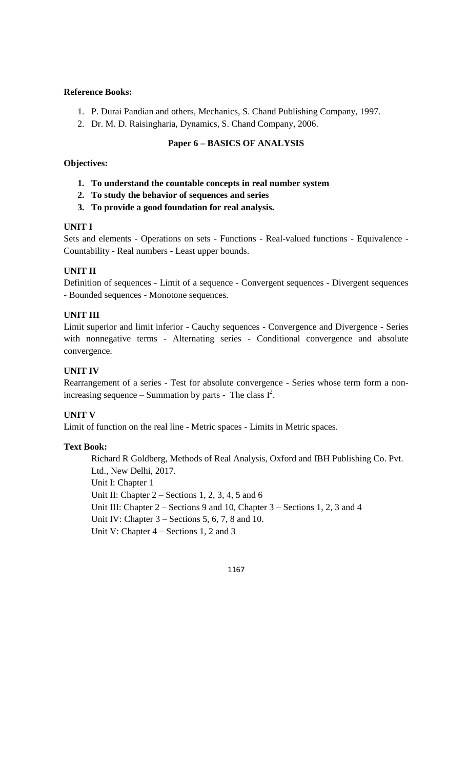- 1. P. Durai Pandian and others, Mechanics, S. Chand Publishing Company, 1997.
- 2. Dr. M. D. Raisingharia, Dynamics, S. Chand Company, 2006.

## **Paper 6 – BASICS OF ANALYSIS**

### **Objectives:**

- **1. To understand the countable concepts in real number system**
- **2. To study the behavior of sequences and series**
- **3. To provide a good foundation for real analysis.**

## **UNIT I**

Sets and elements - Operations on sets - Functions - Real-valued functions - Equivalence - Countability - Real numbers - Least upper bounds.

## **UNIT II**

Definition of sequences - Limit of a sequence - Convergent sequences - Divergent sequences - Bounded sequences - Monotone sequences.

## **UNIT III**

Limit superior and limit inferior - Cauchy sequences - Convergence and Divergence - Series with nonnegative terms - Alternating series - Conditional convergence and absolute convergence.

## **UNIT IV**

Rearrangement of a series - Test for absolute convergence - Series whose term form a nonincreasing sequence – Summation by parts - The class  $I^2$ .

## **UNIT V**

Limit of function on the real line - Metric spaces - Limits in Metric spaces.

#### **Text Book:**

Richard R Goldberg, Methods of Real Analysis, Oxford and IBH Publishing Co. Pvt. Ltd., New Delhi, 2017. Unit I: Chapter 1 Unit II: Chapter 2 – Sections 1, 2, 3, 4, 5 and 6 Unit III: Chapter 2 – Sections 9 and 10, Chapter 3 – Sections 1, 2, 3 and 4 Unit IV: Chapter 3 – Sections 5, 6, 7, 8 and 10. Unit V: Chapter 4 – Sections 1, 2 and 3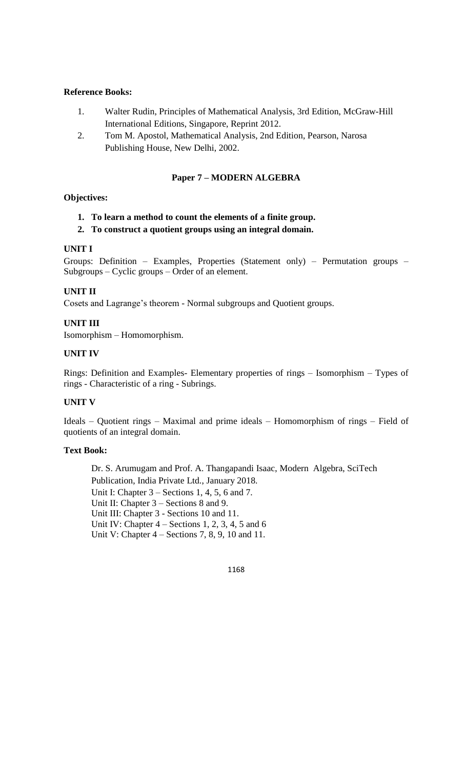- 1. Walter Rudin, Principles of Mathematical Analysis, 3rd Edition, McGraw-Hill International Editions, Singapore, Reprint 2012.
- 2. Tom M. Apostol, Mathematical Analysis, 2nd Edition, Pearson, Narosa Publishing House, New Delhi, 2002.

#### **Paper 7 – MODERN ALGEBRA**

#### **Objectives:**

- **1. To learn a method to count the elements of a finite group.**
- **2. To construct a quotient groups using an integral domain.**

#### **UNIT I**

Groups: Definition – Examples, Properties (Statement only) – Permutation groups – Subgroups – Cyclic groups – Order of an element.

#### **UNIT II**

Cosets and Lagrange's theorem - Normal subgroups and Quotient groups.

#### **UNIT III**

Isomorphism – Homomorphism.

#### **UNIT IV**

Rings: Definition and Examples- Elementary properties of rings – Isomorphism – Types of rings - Characteristic of a ring - Subrings.

## **UNIT V**

Ideals – Quotient rings – Maximal and prime ideals – Homomorphism of rings – Field of quotients of an integral domain.

#### **Text Book:**

Dr. S. Arumugam and Prof. A. Thangapandi Isaac, Modern Algebra, SciTech Publication, India Private Ltd., January 2018. Unit I: Chapter 3 – Sections 1, 4, 5, 6 and 7. Unit II: Chapter 3 – Sections 8 and 9. Unit III: Chapter 3 - Sections 10 and 11. Unit IV: Chapter 4 – Sections 1, 2, 3, 4, 5 and 6 Unit V: Chapter 4 – Sections 7, 8, 9, 10 and 11.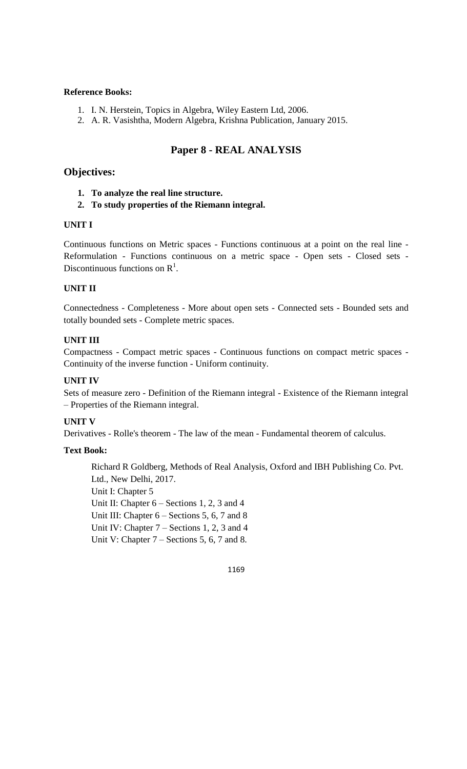- 1. I. N. Herstein, Topics in Algebra, Wiley Eastern Ltd, 2006.
- 2. A. R. Vasishtha, Modern Algebra, Krishna Publication, January 2015.

## **Paper 8 - REAL ANALYSIS**

#### **Objectives:**

- **1. To analyze the real line structure.**
- **2. To study properties of the Riemann integral.**

#### **UNIT I**

Continuous functions on Metric spaces - Functions continuous at a point on the real line - Reformulation - Functions continuous on a metric space - Open sets - Closed sets - Discontinuous functions on  $\mathbb{R}^1$ .

#### **UNIT II**

Connectedness - Completeness - More about open sets - Connected sets - Bounded sets and totally bounded sets - Complete metric spaces.

#### **UNIT III**

Compactness - Compact metric spaces - Continuous functions on compact metric spaces - Continuity of the inverse function - Uniform continuity.

#### **UNIT IV**

Sets of measure zero - Definition of the Riemann integral - Existence of the Riemann integral – Properties of the Riemann integral.

### **UNIT V**

Derivatives - Rolle's theorem - The law of the mean - Fundamental theorem of calculus.

#### **Text Book:**

Richard R Goldberg, Methods of Real Analysis, Oxford and IBH Publishing Co. Pvt. Ltd., New Delhi, 2017. Unit I: Chapter 5 Unit II: Chapter  $6 -$  Sections 1, 2, 3 and 4 Unit III: Chapter 6 – Sections 5, 6, 7 and 8 Unit IV: Chapter 7 – Sections 1, 2, 3 and 4 Unit V: Chapter 7 – Sections 5, 6, 7 and 8.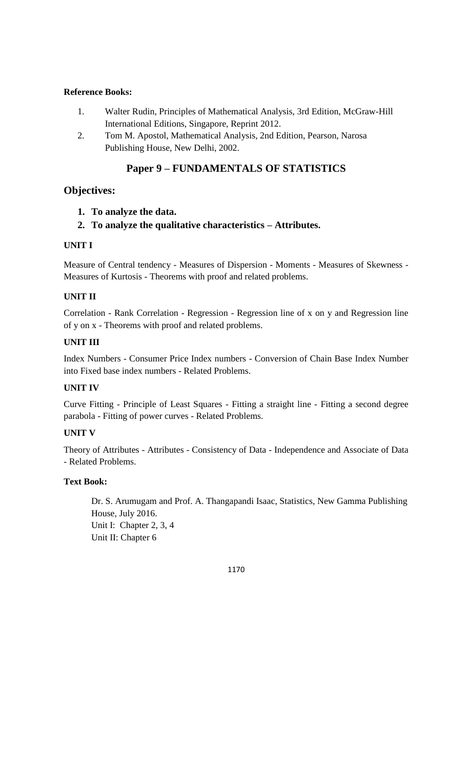- 1. Walter Rudin, Principles of Mathematical Analysis, 3rd Edition, McGraw-Hill International Editions, Singapore, Reprint 2012.
- 2. Tom M. Apostol, Mathematical Analysis, 2nd Edition, Pearson, Narosa Publishing House, New Delhi, 2002.

## **Paper 9 – FUNDAMENTALS OF STATISTICS**

## **Objectives:**

- **1. To analyze the data.**
- **2. To analyze the qualitative characteristics – Attributes.**

## **UNIT I**

Measure of Central tendency - Measures of Dispersion - Moments - Measures of Skewness - Measures of Kurtosis - Theorems with proof and related problems.

## **UNIT II**

Correlation - Rank Correlation - Regression - Regression line of x on y and Regression line of y on x - Theorems with proof and related problems.

## **UNIT III**

Index Numbers - Consumer Price Index numbers - Conversion of Chain Base Index Number into Fixed base index numbers - Related Problems.

## **UNIT IV**

Curve Fitting - Principle of Least Squares - Fitting a straight line - Fitting a second degree parabola - Fitting of power curves - Related Problems.

## **UNIT V**

Theory of Attributes - Attributes - Consistency of Data - Independence and Associate of Data - Related Problems.

## **Text Book:**

Dr. S. Arumugam and Prof. A. Thangapandi Isaac, Statistics, New Gamma Publishing House, July 2016. Unit I: Chapter 2, 3, 4 Unit II: Chapter 6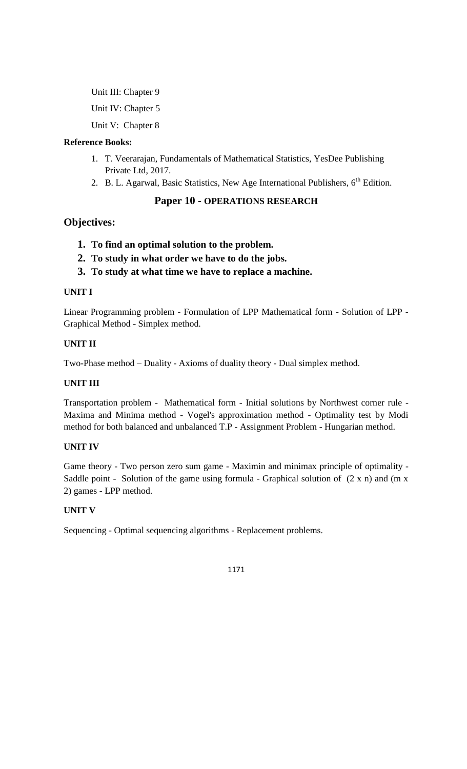Unit III: Chapter 9 Unit IV: Chapter 5 Unit V: Chapter 8

## **Reference Books:**

- 1. T. Veerarajan, Fundamentals of Mathematical Statistics, YesDee Publishing Private Ltd, 2017.
- 2. B. L. Agarwal, Basic Statistics, New Age International Publishers,  $6<sup>th</sup>$  Edition.

## **Paper 10 - OPERATIONS RESEARCH**

## **Objectives:**

- **1. To find an optimal solution to the problem.**
- **2. To study in what order we have to do the jobs.**
- **3. To study at what time we have to replace a machine.**

## **UNIT I**

Linear Programming problem - Formulation of LPP Mathematical form - Solution of LPP - Graphical Method - Simplex method.

## **UNIT II**

Two-Phase method – Duality - Axioms of duality theory - Dual simplex method.

## **UNIT III**

Transportation problem - Mathematical form - Initial solutions by Northwest corner rule - Maxima and Minima method - Vogel's approximation method - Optimality test by Modi method for both balanced and unbalanced T.P - Assignment Problem - Hungarian method.

## **UNIT IV**

Game theory - Two person zero sum game - Maximin and minimax principle of optimality - Saddle point - Solution of the game using formula - Graphical solution of  $(2 \times n)$  and  $(m \times n)$ 2) games - LPP method.

## **UNIT V**

Sequencing - Optimal sequencing algorithms - Replacement problems.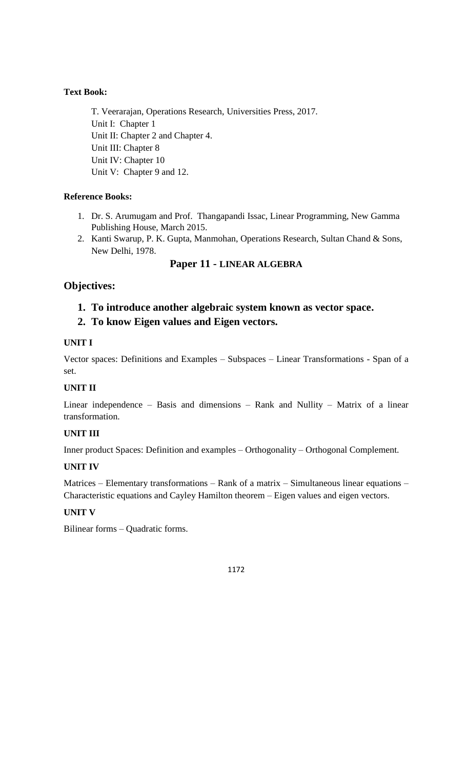## **Text Book:**

T. Veerarajan, Operations Research, Universities Press, 2017. Unit I: Chapter 1 Unit II: Chapter 2 and Chapter 4. Unit III: Chapter 8 Unit IV: Chapter 10 Unit V: Chapter 9 and 12.

## **Reference Books:**

- 1. Dr. S. Arumugam and Prof. Thangapandi Issac, Linear Programming, New Gamma Publishing House, March 2015.
- 2. Kanti Swarup, P. K. Gupta, Manmohan, Operations Research, Sultan Chand & Sons, New Delhi, 1978.

## **Paper 11 - LINEAR ALGEBRA**

## **Objectives:**

- **1. To introduce another algebraic system known as vector space.**
- **2. To know Eigen values and Eigen vectors.**

## **UNIT I**

Vector spaces: Definitions and Examples – Subspaces – Linear Transformations - Span of a set.

## **UNIT II**

Linear independence – Basis and dimensions – Rank and Nullity – Matrix of a linear transformation.

## **UNIT III**

Inner product Spaces: Definition and examples – Orthogonality – Orthogonal Complement.

## **UNIT IV**

Matrices – Elementary transformations – Rank of a matrix – Simultaneous linear equations – Characteristic equations and Cayley Hamilton theorem – Eigen values and eigen vectors.

## **UNIT V**

Bilinear forms – Quadratic forms.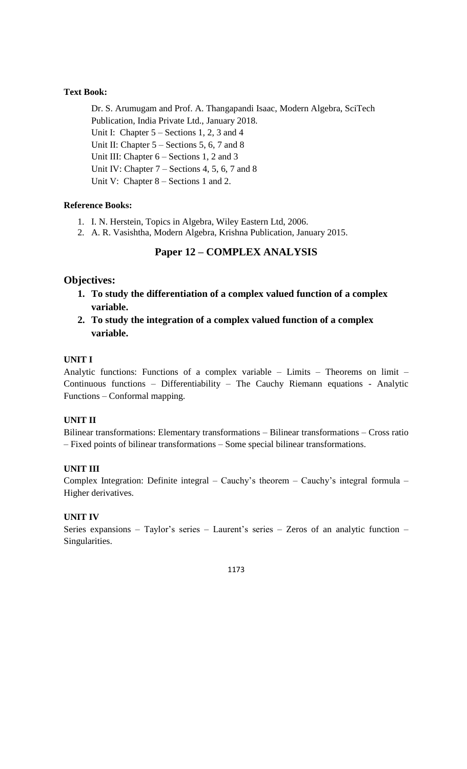## **Text Book:**

Dr. S. Arumugam and Prof. A. Thangapandi Isaac, Modern Algebra, SciTech Publication, India Private Ltd., January 2018. Unit I: Chapter 5 – Sections 1, 2, 3 and 4 Unit II: Chapter 5 – Sections 5, 6, 7 and 8 Unit III: Chapter  $6 -$  Sections 1, 2 and 3 Unit IV: Chapter 7 – Sections 4, 5, 6, 7 and 8 Unit V: Chapter 8 – Sections 1 and 2.

## **Reference Books:**

- 1. I. N. Herstein, Topics in Algebra, Wiley Eastern Ltd, 2006.
- 2. A. R. Vasishtha, Modern Algebra, Krishna Publication, January 2015.

## **Paper 12 – COMPLEX ANALYSIS**

## **Objectives:**

- **1. To study the differentiation of a complex valued function of a complex variable.**
- **2. To study the integration of a complex valued function of a complex variable.**

## **UNIT I**

Analytic functions: Functions of a complex variable – Limits – Theorems on limit – Continuous functions – Differentiability – The Cauchy Riemann equations - Analytic Functions – Conformal mapping.

#### **UNIT II**

Bilinear transformations: Elementary transformations – Bilinear transformations – Cross ratio – Fixed points of bilinear transformations – Some special bilinear transformations.

#### **UNIT III**

Complex Integration: Definite integral – Cauchy's theorem – Cauchy's integral formula – Higher derivatives.

## **UNIT IV**

Series expansions – Taylor's series – Laurent's series – Zeros of an analytic function – Singularities.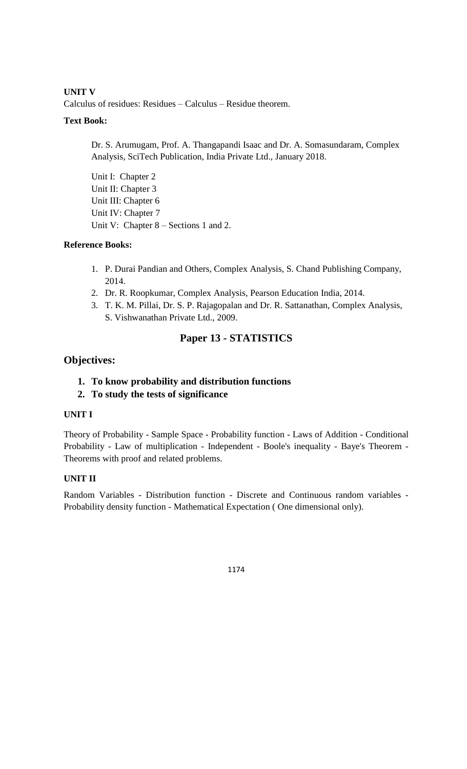**UNIT V**

Calculus of residues: Residues – Calculus – Residue theorem.

## **Text Book:**

Dr. S. Arumugam, Prof. A. Thangapandi Isaac and Dr. A. Somasundaram, Complex Analysis, SciTech Publication, India Private Ltd., January 2018.

Unit I: Chapter 2 Unit II: Chapter 3 Unit III: Chapter 6 Unit IV: Chapter 7 Unit V: Chapter 8 – Sections 1 and 2.

## **Reference Books:**

- 1. P. Durai Pandian and Others, Complex Analysis, S. Chand Publishing Company, 2014.
- 2. Dr. R. Roopkumar, Complex Analysis, Pearson Education India, 2014.
- 3. T. K. M. Pillai, Dr. S. P. Rajagopalan and Dr. R. Sattanathan, Complex Analysis, S. Vishwanathan Private Ltd., 2009.

## **Paper 13 - STATISTICS**

## **Objectives:**

## **1. To know probability and distribution functions**

**2. To study the tests of significance** 

#### **UNIT I**

Theory of Probability - Sample Space - Probability function - Laws of Addition - Conditional Probability - Law of multiplication - Independent - Boole's inequality - Baye's Theorem - Theorems with proof and related problems.

## **UNIT II**

Random Variables - Distribution function - Discrete and Continuous random variables - Probability density function - Mathematical Expectation ( One dimensional only).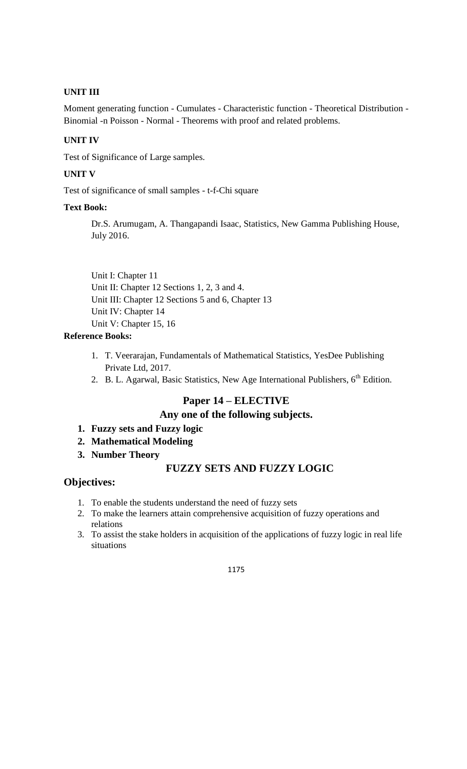## **UNIT III**

Moment generating function - Cumulates - Characteristic function - Theoretical Distribution - Binomial -n Poisson - Normal - Theorems with proof and related problems.

### **UNIT IV**

Test of Significance of Large samples.

## **UNIT V**

Test of significance of small samples - t-f-Chi square

#### **Text Book:**

Dr.S. Arumugam, A. Thangapandi Isaac, Statistics, New Gamma Publishing House, July 2016.

Unit I: Chapter 11 Unit II: Chapter 12 Sections 1, 2, 3 and 4. Unit III: Chapter 12 Sections 5 and 6, Chapter 13 Unit IV: Chapter 14 Unit V: Chapter 15, 16

## **Reference Books:**

- 1. T. Veerarajan, Fundamentals of Mathematical Statistics, YesDee Publishing Private Ltd, 2017.
- 2. B. L. Agarwal, Basic Statistics, New Age International Publishers,  $6^{th}$  Edition.

## **Paper 14 – ELECTIVE**

## **Any one of the following subjects.**

- **1. Fuzzy sets and Fuzzy logic**
- **2. Mathematical Modeling**
- **3. Number Theory**

## **FUZZY SETS AND FUZZY LOGIC**

## **Objectives:**

- 1. To enable the students understand the need of fuzzy sets
- 2. To make the learners attain comprehensive acquisition of fuzzy operations and relations
- 3. To assist the stake holders in acquisition of the applications of fuzzy logic in real life situations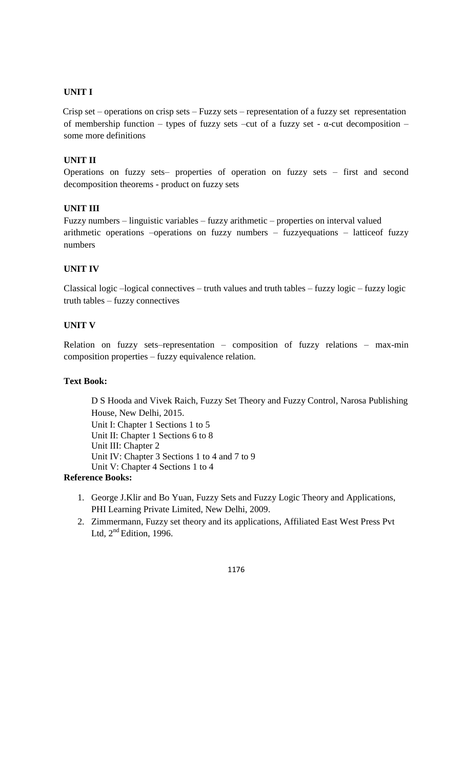Crisp set – operations on crisp sets – Fuzzy sets – representation of a fuzzy set representation of membership function – types of fuzzy sets –cut of a fuzzy set - α-cut decomposition – some more definitions

## **UNIT II**

Operations on fuzzy sets– properties of operation on fuzzy sets – first and second decomposition theorems - product on fuzzy sets

#### **UNIT III**

Fuzzy numbers – linguistic variables – fuzzy arithmetic – properties on interval valued arithmetic operations –operations on fuzzy numbers – fuzzyequations – latticeof fuzzy numbers

#### **UNIT IV**

Classical logic –logical connectives – truth values and truth tables – fuzzy logic – fuzzy logic truth tables – fuzzy connectives

## **UNIT V**

Relation on fuzzy sets–representation – composition of fuzzy relations – max-min composition properties – fuzzy equivalence relation.

#### **Text Book:**

D S Hooda and Vivek Raich, Fuzzy Set Theory and Fuzzy Control, Narosa Publishing House, New Delhi, 2015. Unit I: Chapter 1 Sections 1 to 5 Unit II: Chapter 1 Sections 6 to 8 Unit III: Chapter 2 Unit IV: Chapter 3 Sections 1 to 4 and 7 to 9 Unit V: Chapter 4 Sections 1 to 4

#### **Reference Books:**

- 1. George J.Klir and Bo Yuan, Fuzzy Sets and Fuzzy Logic Theory and Applications, PHI Learning Private Limited, New Delhi, 2009.
- 2. Zimmermann, Fuzzy set theory and its applications, Affiliated East West Press Pvt Ltd,  $2<sup>nd</sup>$  Edition, 1996.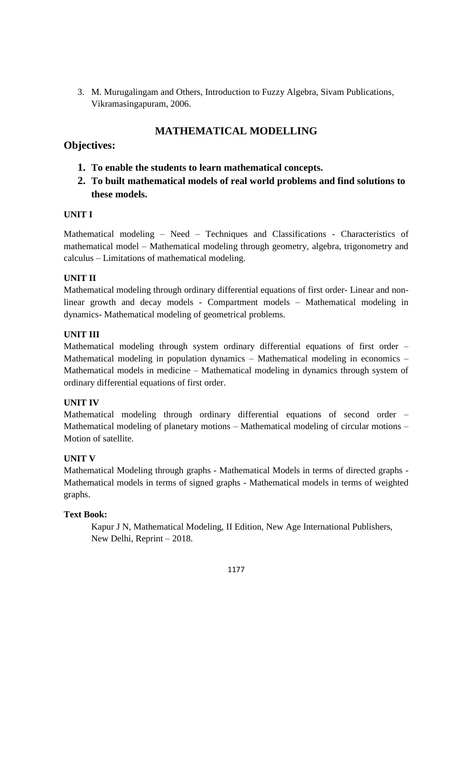3. M. Murugalingam and Others, Introduction to Fuzzy Algebra, Sivam Publications, Vikramasingapuram, 2006.

## **MATHEMATICAL MODELLING**

## **Objectives:**

- **1. To enable the students to learn mathematical concepts.**
- **2. To built mathematical models of real world problems and find solutions to these models.**

## **UNIT I**

Mathematical modeling – Need – Techniques and Classifications - Characteristics of mathematical model – Mathematical modeling through geometry, algebra, trigonometry and calculus – Limitations of mathematical modeling.

## **UNIT II**

Mathematical modeling through ordinary differential equations of first order- Linear and nonlinear growth and decay models - Compartment models – Mathematical modeling in dynamics- Mathematical modeling of geometrical problems.

## **UNIT III**

Mathematical modeling through system ordinary differential equations of first order – Mathematical modeling in population dynamics – Mathematical modeling in economics – Mathematical models in medicine – Mathematical modeling in dynamics through system of ordinary differential equations of first order.

## **UNIT IV**

Mathematical modeling through ordinary differential equations of second order – Mathematical modeling of planetary motions – Mathematical modeling of circular motions – Motion of satellite.

## **UNIT V**

Mathematical Modeling through graphs - Mathematical Models in terms of directed graphs - Mathematical models in terms of signed graphs - Mathematical models in terms of weighted graphs.

## **Text Book:**

Kapur J N, Mathematical Modeling, II Edition, New Age International Publishers, New Delhi, Reprint – 2018.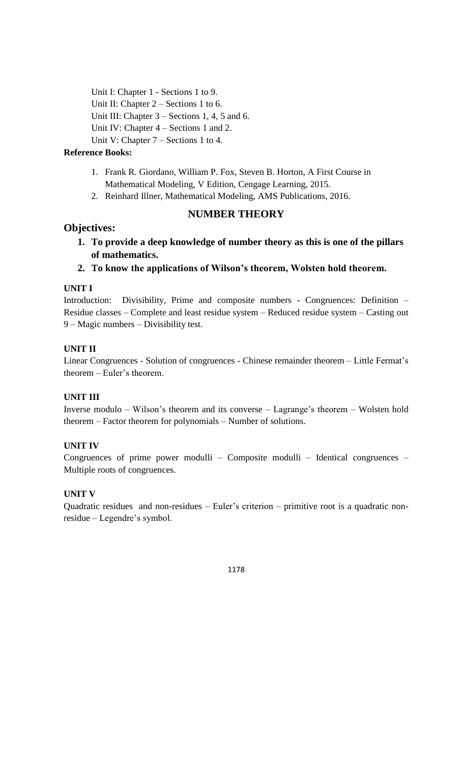Unit I: Chapter 1 - Sections 1 to 9. Unit II: Chapter 2 – Sections 1 to 6. Unit III: Chapter 3 – Sections 1, 4, 5 and 6. Unit IV: Chapter 4 – Sections 1 and 2. Unit V: Chapter 7 – Sections 1 to 4.

## **Reference Books:**

- 1. Frank R. Giordano, William P. Fox, Steven B. Horton, A First Course in Mathematical Modeling, V Edition, Cengage Learning, 2015.
- 2. Reinhard Illner, Mathematical Modeling, AMS Publications, 2016.

## **NUMBER THEORY**

## **Objectives:**

- **1. To provide a deep knowledge of number theory as this is one of the pillars of mathematics.**
- **2. To know the applications of Wilson's theorem, Wolsten hold theorem.**

#### **UNIT I**

Introduction: Divisibility, Prime and composite numbers - Congruences: Definition – Residue classes – Complete and least residue system – Reduced residue system – Casting out 9 – Magic numbers – Divisibility test.

#### **UNIT II**

Linear Congruences - Solution of congruences - Chinese remainder theorem – Little Fermat's theorem – Euler's theorem.

#### **UNIT III**

Inverse modulo – Wilson's theorem and its converse – Lagrange's theorem – Wolsten hold theorem – Factor theorem for polynomials – Number of solutions.

## **UNIT IV**

Congruences of prime power modulli – Composite modulli – Identical congruences – Multiple roots of congruences.

#### **UNIT V**

Quadratic residues and non-residues – Euler's criterion – primitive root is a quadratic nonresidue – Legendre's symbol.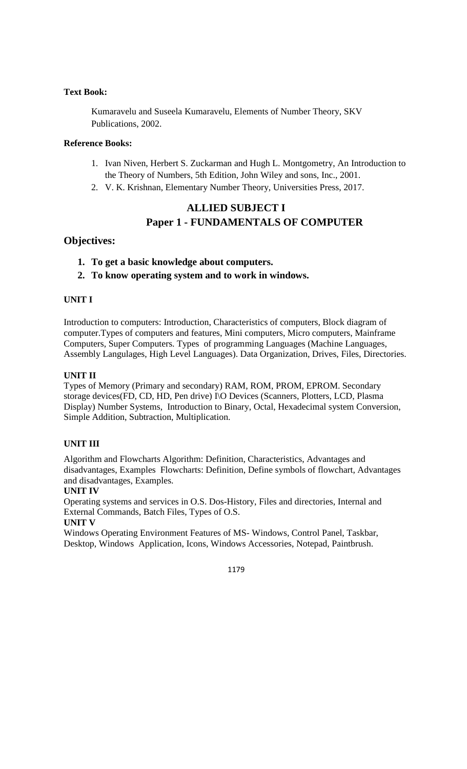### **Text Book:**

Kumaravelu and Suseela Kumaravelu, Elements of Number Theory, SKV Publications, 2002.

#### **Reference Books:**

- 1. Ivan Niven, Herbert S. Zuckarman and Hugh L. Montgometry, An Introduction to the Theory of Numbers, 5th Edition, John Wiley and sons, Inc., 2001.
- 2. V. K. Krishnan, Elementary Number Theory, Universities Press, 2017.

## **ALLIED SUBJECT I Paper 1 - FUNDAMENTALS OF COMPUTER**

## **Objectives:**

- **1. To get a basic knowledge about computers.**
- **2. To know operating system and to work in windows.**

#### **UNIT I**

Introduction to computers: Introduction, Characteristics of computers, Block diagram of computer.Types of computers and features, Mini computers, Micro computers, Mainframe Computers, Super Computers. Types of programming Languages (Machine Languages, Assembly Langulages, High Level Languages). Data Organization, Drives, Files, Directories.

#### **UNIT II**

Types of Memory (Primary and secondary) RAM, ROM, PROM, EPROM. Secondary storage devices(FD, CD, HD, Pen drive) I\O Devices (Scanners, Plotters, LCD, Plasma Display) Number Systems, Introduction to Binary, Octal, Hexadecimal system Conversion, Simple Addition, Subtraction, Multiplication.

## **UNIT III**

Algorithm and Flowcharts Algorithm: Definition, Characteristics, Advantages and disadvantages, Examples Flowcharts: Definition, Define symbols of flowchart, Advantages and disadvantages, Examples.

#### **UNIT IV**

Operating systems and services in O.S. Dos-History, Files and directories, Internal and External Commands, Batch Files, Types of O.S.

#### **UNIT V**

Windows Operating Environment Features of MS- Windows, Control Panel, Taskbar, Desktop, Windows Application, Icons, Windows Accessories, Notepad, Paintbrush.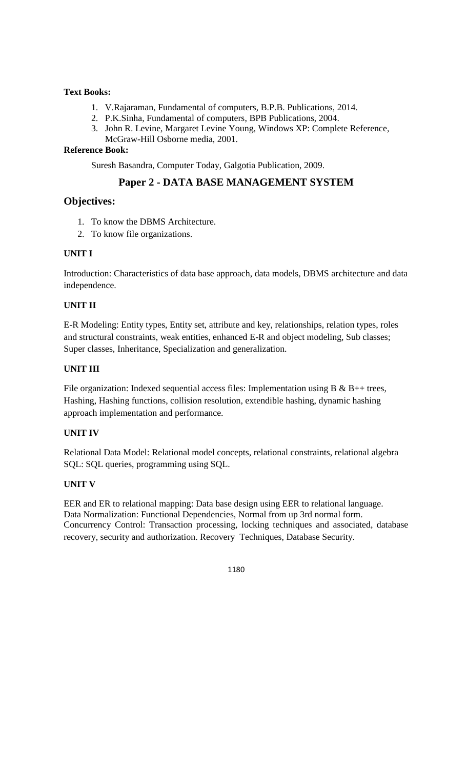## **Text Books:**

- 1. V.Rajaraman, Fundamental of computers, B.P.B. Publications, 2014.
- 2. P.K.Sinha, Fundamental of computers, BPB Publications, 2004.
- 3. John R. Levine, Margaret Levine Young, Windows XP: Complete Reference, McGraw-Hill Osborne media, 2001.

## **Reference Book:**

Suresh Basandra, Computer Today, Galgotia Publication, 2009.

## **Paper 2 - DATA BASE MANAGEMENT SYSTEM**

## **Objectives:**

- 1. To know the DBMS Architecture.
- 2. To know file organizations.

## **UNIT I**

Introduction: Characteristics of data base approach, data models, DBMS architecture and data independence.

## **UNIT II**

E-R Modeling: Entity types, Entity set, attribute and key, relationships, relation types, roles and structural constraints, weak entities, enhanced E-R and object modeling, Sub classes; Super classes, Inheritance, Specialization and generalization.

## **UNIT III**

File organization: Indexed sequential access files: Implementation using B & B++ trees, Hashing, Hashing functions, collision resolution, extendible hashing, dynamic hashing approach implementation and performance.

#### **UNIT IV**

Relational Data Model: Relational model concepts, relational constraints, relational algebra SQL: SQL queries, programming using SQL.

## **UNIT V**

EER and ER to relational mapping: Data base design using EER to relational language. Data Normalization: Functional Dependencies, Normal from up 3rd normal form. Concurrency Control: Transaction processing, locking techniques and associated, database recovery, security and authorization. Recovery Techniques, Database Security.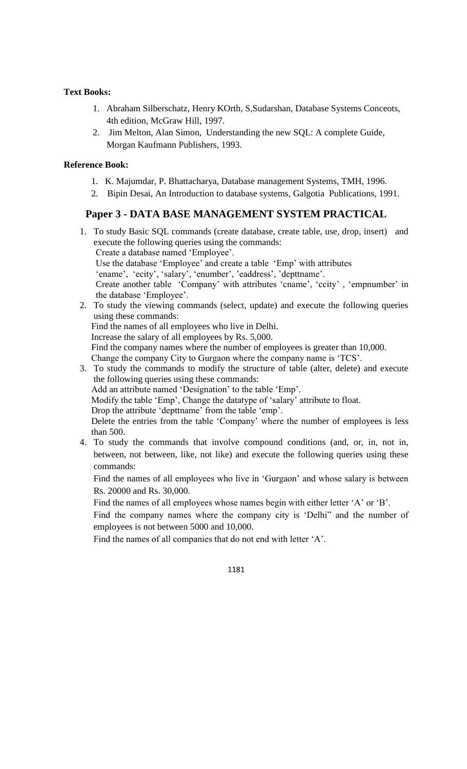#### **Text Books:**

- 1. Abraham Silberschatz, Henry KOrth, S,Sudarshan, Database Systems Conceots, 4th edition, McGraw Hill, 1997.
- 2. Jim Melton, Alan Simon, Understanding the new SQL: A complete Guide, Morgan Kaufmann Publishers, 1993.

### **Reference Book:**

- 1. K. Majumdar, P. Bhattacharya, Database management Systems, TMH, 1996.
- 2. Bipin Desai, An Introduction to database systems, Galgotia Publications, 1991.

## **Paper 3 - DATA BASE MANAGEMENT SYSTEM PRACTICAL**

1. To study Basic SQL commands (create database, create table, use, drop, insert) and execute the following queries using the commands: Create a database named 'Employee'. Use the database 'Employee' and create a table 'Emp' with attributes 'ename', 'ecity', 'salary', 'enumber', 'eaddress', 'depttname'. Create another table 'Company' with attributes 'cname', 'ccity' , 'empnumber' in the database 'Employee'. 2. To study the viewing commands (select, update) and execute the following queries using these commands: Find the names of all employees who live in Delhi. Increase the salary of all employees by Rs. 5,000.

Find the company names where the number of employees is greater than 10,000.

Change the company City to Gurgaon where the company name is 'TCS'.

3. To study the commands to modify the structure of table (alter, delete) and execute the following queries using these commands:

Add an attribute named 'Designation' to the table 'Emp'.

Modify the table 'Emp', Change the datatype of 'salary' attribute to float.

Drop the attribute 'depttname' from the table 'emp'.

Delete the entries from the table 'Company' where the number of employees is less than 500.

4. To study the commands that involve compound conditions (and, or, in, not in, between, not between, like, not like) and execute the following queries using these commands:

Find the names of all employees who live in 'Gurgaon' and whose salary is between Rs. 20000 and Rs. 30,000.

Find the names of all employees whose names begin with either letter 'A' or 'B'.

Find the company names where the company city is 'Delhi" and the number of employees is not between 5000 and 10,000.

Find the names of all companies that do not end with letter 'A'.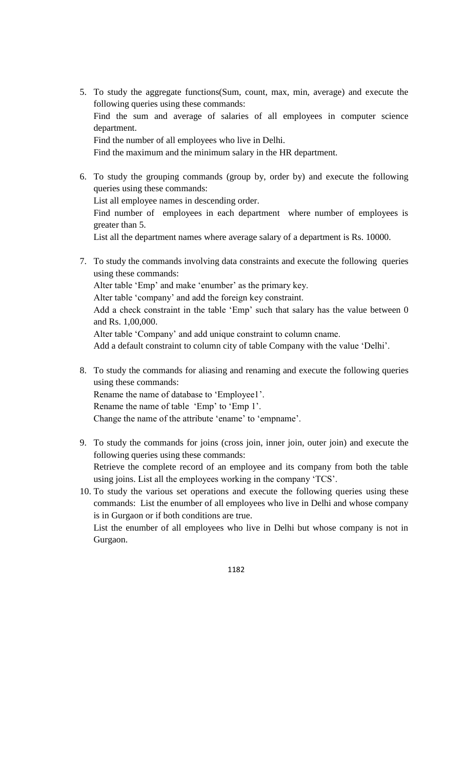- 5. To study the aggregate functions(Sum, count, max, min, average) and execute the following queries using these commands: Find the sum and average of salaries of all employees in computer science department. Find the number of all employees who live in Delhi. Find the maximum and the minimum salary in the HR department.
- 6. To study the grouping commands (group by, order by) and execute the following queries using these commands: List all employee names in descending order. Find number of employees in each department where number of employees is greater than 5. List all the department names where average salary of a department is Rs. 10000.
- 7. To study the commands involving data constraints and execute the following queries using these commands: Alter table 'Emp' and make 'enumber' as the primary key. Alter table 'company' and add the foreign key constraint. Add a check constraint in the table 'Emp' such that salary has the value between 0 and Rs. 1,00,000. Alter table 'Company' and add unique constraint to column cname. Add a default constraint to column city of table Company with the value 'Delhi'.
- 8. To study the commands for aliasing and renaming and execute the following queries using these commands: Rename the name of database to 'Employee1'. Rename the name of table 'Emp' to 'Emp 1'. Change the name of the attribute 'ename' to 'empname'.
- 9. To study the commands for joins (cross join, inner join, outer join) and execute the following queries using these commands: Retrieve the complete record of an employee and its company from both the table using joins. List all the employees working in the company 'TCS'.
- 10. To study the various set operations and execute the following queries using these commands: List the enumber of all employees who live in Delhi and whose company is in Gurgaon or if both conditions are true.

List the enumber of all employees who live in Delhi but whose company is not in Gurgaon.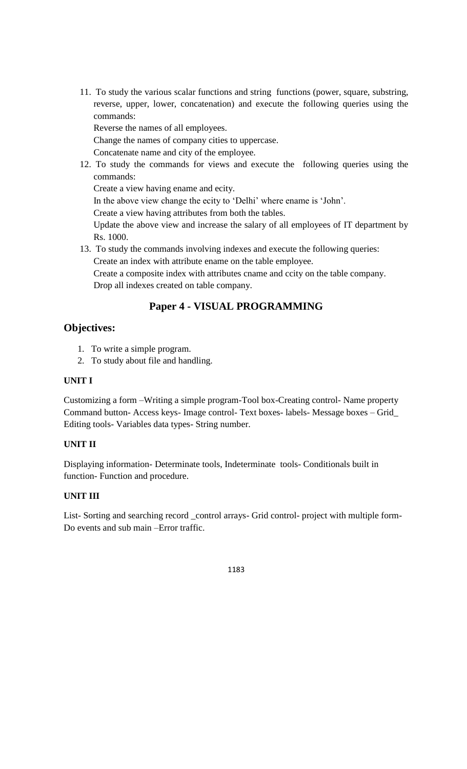11. To study the various scalar functions and string functions (power, square, substring, reverse, upper, lower, concatenation) and execute the following queries using the commands:

Reverse the names of all employees.

Change the names of company cities to uppercase.

Concatenate name and city of the employee.

12. To study the commands for views and execute the following queries using the commands:

Create a view having ename and ecity.

In the above view change the ecity to 'Delhi' where ename is 'John'.

Create a view having attributes from both the tables.

Update the above view and increase the salary of all employees of IT department by Rs. 1000.

13. To study the commands involving indexes and execute the following queries: Create an index with attribute ename on the table employee. Create a composite index with attributes cname and ccity on the table company. Drop all indexes created on table company.

## **Paper 4 - VISUAL PROGRAMMING**

## **Objectives:**

- 1. To write a simple program.
- 2. To study about file and handling.

## **UNIT I**

Customizing a form –Writing a simple program-Tool box-Creating control- Name property Command button- Access keys- Image control- Text boxes- labels- Message boxes – Grid\_ Editing tools- Variables data types- String number.

## **UNIT II**

Displaying information- Determinate tools, Indeterminate tools- Conditionals built in function- Function and procedure.

## **UNIT III**

List- Sorting and searching record \_control arrays- Grid control- project with multiple form-Do events and sub main –Error traffic.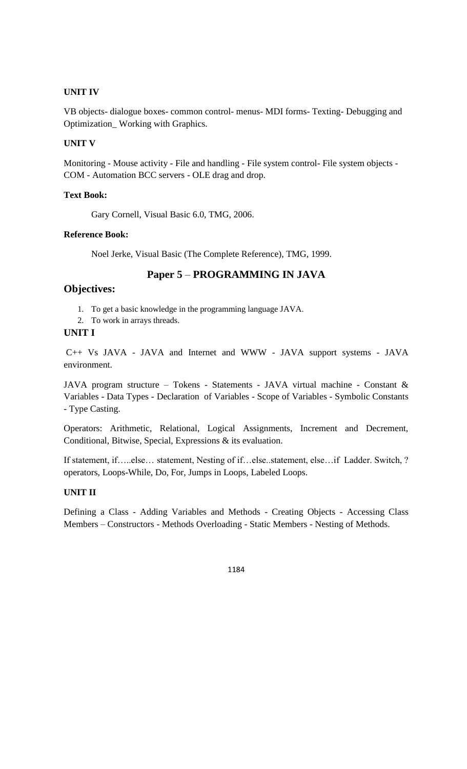VB objects- dialogue boxes- common control- menus- MDI forms- Texting- Debugging and Optimization\_ Working with Graphics.

#### **UNIT V**

Monitoring - Mouse activity - File and handling - File system control- File system objects - COM - Automation BCC servers - OLE drag and drop.

#### **Text Book:**

Gary Cornell, Visual Basic 6.0, TMG, 2006.

### **Reference Book:**

Noel Jerke, Visual Basic (The Complete Reference), TMG, 1999.

## **Paper 5** – **PROGRAMMING IN JAVA**

## **Objectives:**

- 1. To get a basic knowledge in the programming language JAVA.
- 2. To work in arrays threads.

#### **UNIT I**

C++ Vs JAVA - JAVA and Internet and WWW - JAVA support systems - JAVA environment.

JAVA program structure – Tokens - Statements - JAVA virtual machine - Constant & Variables - Data Types - Declaration of Variables - Scope of Variables - Symbolic Constants - Type Casting.

Operators: Arithmetic, Relational, Logical Assignments, Increment and Decrement, Conditional, Bitwise, Special, Expressions & its evaluation.

If statement, if…..else… statement, Nesting of if…else..statement, else…if Ladder. Switch, ? operators, Loops-While, Do, For, Jumps in Loops, Labeled Loops.

## **UNIT II**

Defining a Class - Adding Variables and Methods - Creating Objects - Accessing Class Members – Constructors - Methods Overloading - Static Members - Nesting of Methods.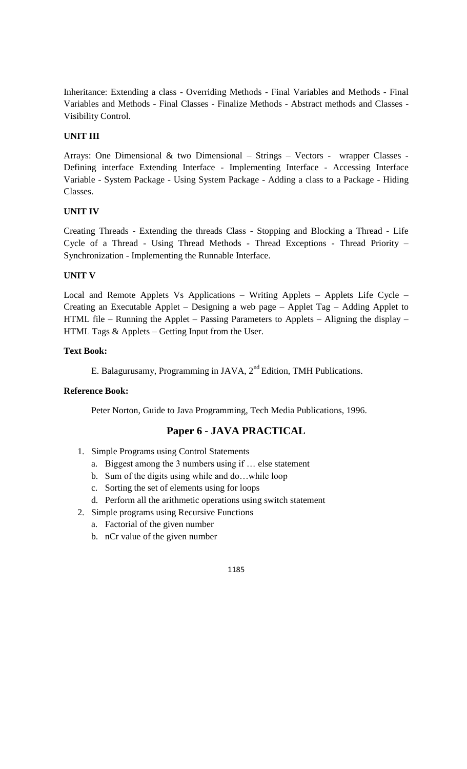Inheritance: Extending a class - Overriding Methods - Final Variables and Methods - Final Variables and Methods - Final Classes - Finalize Methods - Abstract methods and Classes - Visibility Control.

## **UNIT III**

Arrays: One Dimensional & two Dimensional – Strings – Vectors - wrapper Classes - Defining interface Extending Interface - Implementing Interface - Accessing Interface Variable - System Package - Using System Package - Adding a class to a Package - Hiding Classes.

## **UNIT IV**

Creating Threads - Extending the threads Class - Stopping and Blocking a Thread - Life Cycle of a Thread - Using Thread Methods - Thread Exceptions - Thread Priority – Synchronization - Implementing the Runnable Interface.

## **UNIT V**

Local and Remote Applets Vs Applications – Writing Applets – Applets Life Cycle – Creating an Executable Applet – Designing a web page – Applet Tag – Adding Applet to HTML file – Running the Applet – Passing Parameters to Applets – Aligning the display – HTML Tags & Applets – Getting Input from the User.

## **Text Book:**

E. Balagurusamy, Programming in JAVA, 2<sup>nd</sup> Edition, TMH Publications.

#### **Reference Book:**

Peter Norton, Guide to Java Programming, Tech Media Publications, 1996.

## **Paper 6 - JAVA PRACTICAL**

- 1. Simple Programs using Control Statements
	- a. Biggest among the 3 numbers using if … else statement
	- b. Sum of the digits using while and do…while loop
	- c. Sorting the set of elements using for loops
	- d. Perform all the arithmetic operations using switch statement
- 2. Simple programs using Recursive Functions
	- a. Factorial of the given number
	- b. nCr value of the given number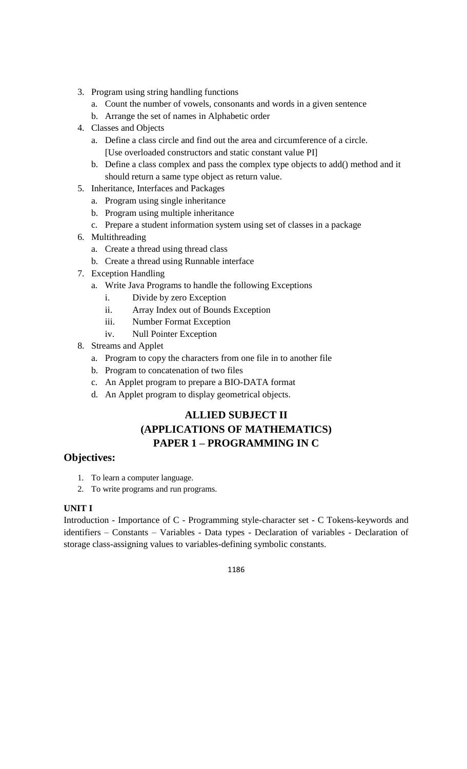- 3. Program using string handling functions
	- a. Count the number of vowels, consonants and words in a given sentence
	- b. Arrange the set of names in Alphabetic order
- 4. Classes and Objects
	- a. Define a class circle and find out the area and circumference of a circle. [Use overloaded constructors and static constant value PI]
	- b. Define a class complex and pass the complex type objects to add() method and it should return a same type object as return value.
- 5. Inheritance, Interfaces and Packages
	- a. Program using single inheritance
	- b. Program using multiple inheritance
	- c. Prepare a student information system using set of classes in a package
- 6. Multithreading
	- a. Create a thread using thread class
	- b. Create a thread using Runnable interface
- 7. Exception Handling
	- a. Write Java Programs to handle the following Exceptions
		- i. Divide by zero Exception
		- ii. Array Index out of Bounds Exception
		- iii. Number Format Exception
		- iv. Null Pointer Exception
- 8. Streams and Applet
	- a. Program to copy the characters from one file in to another file
	- b. Program to concatenation of two files
	- c. An Applet program to prepare a BIO-DATA format
	- d. An Applet program to display geometrical objects.

## **ALLIED SUBJECT II (APPLICATIONS OF MATHEMATICS) PAPER 1 – PROGRAMMING IN C**

## **Objectives:**

- 1. To learn a computer language.
- 2. To write programs and run programs.

#### **UNIT I**

Introduction - Importance of C - Programming style-character set - C Tokens-keywords and identifiers – Constants – Variables - Data types - Declaration of variables - Declaration of storage class-assigning values to variables-defining symbolic constants.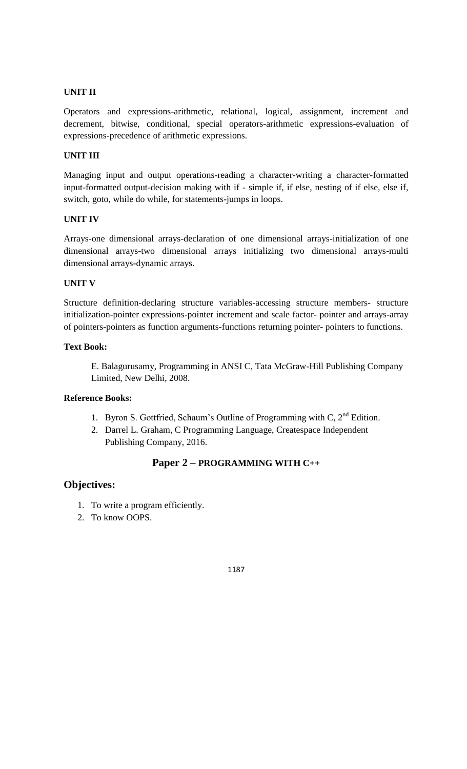Operators and expressions-arithmetic, relational, logical, assignment, increment and decrement, bitwise, conditional, special operators-arithmetic expressions-evaluation of expressions-precedence of arithmetic expressions.

## **UNIT III**

Managing input and output operations-reading a character-writing a character-formatted input-formatted output-decision making with if - simple if, if else, nesting of if else, else if, switch, goto, while do while, for statements-jumps in loops.

#### **UNIT IV**

Arrays-one dimensional arrays-declaration of one dimensional arrays-initialization of one dimensional arrays-two dimensional arrays initializing two dimensional arrays-multi dimensional arrays-dynamic arrays.

## **UNIT V**

Structure definition-declaring structure variables-accessing structure members- structure initialization-pointer expressions-pointer increment and scale factor- pointer and arrays-array of pointers-pointers as function arguments-functions returning pointer- pointers to functions.

## **Text Book:**

E. Balagurusamy, Programming in ANSI C, Tata McGraw-Hill Publishing Company Limited, New Delhi, 2008.

## **Reference Books:**

- 1. Byron S. Gottfried, Schaum's Outline of Programming with C,  $2<sup>nd</sup>$  Edition.
- 2. Darrel L. Graham, C Programming Language, Createspace Independent Publishing Company, 2016.

## **Paper 2 – PROGRAMMING WITH C++**

## **Objectives:**

- 1. To write a program efficiently.
- 2. To know OOPS.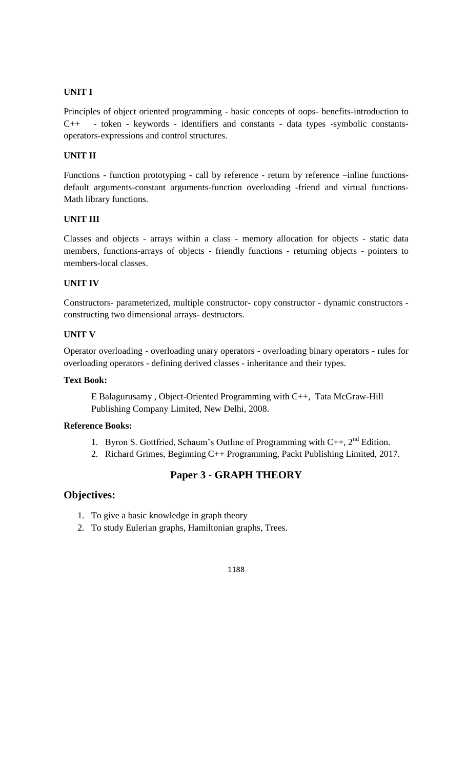Principles of object oriented programming - basic concepts of oops- benefits-introduction to C++ - token - keywords - identifiers and constants - data types -symbolic constantsoperators-expressions and control structures.

## **UNIT II**

Functions - function prototyping - call by reference - return by reference –inline functionsdefault arguments-constant arguments-function overloading -friend and virtual functions-Math library functions.

## **UNIT III**

Classes and objects - arrays within a class - memory allocation for objects - static data members, functions-arrays of objects - friendly functions - returning objects - pointers to members-local classes.

## **UNIT IV**

Constructors- parameterized, multiple constructor- copy constructor - dynamic constructors constructing two dimensional arrays- destructors.

### **UNIT V**

Operator overloading - overloading unary operators - overloading binary operators - rules for overloading operators - defining derived classes - inheritance and their types.

### **Text Book:**

E Balagurusamy , Object-Oriented Programming with C++, Tata McGraw-Hill Publishing Company Limited, New Delhi, 2008.

#### **Reference Books:**

- 1. Byron S. Gottfried, Schaum's Outline of Programming with  $C_{++}$ ,  $2^{nd}$  Edition.
- 2. Richard Grimes, Beginning C++ Programming, Packt Publishing Limited, 2017.

## **Paper 3 - GRAPH THEORY**

## **Objectives:**

- 1. To give a basic knowledge in graph theory
- 2. To study Eulerian graphs, Hamiltonian graphs, Trees.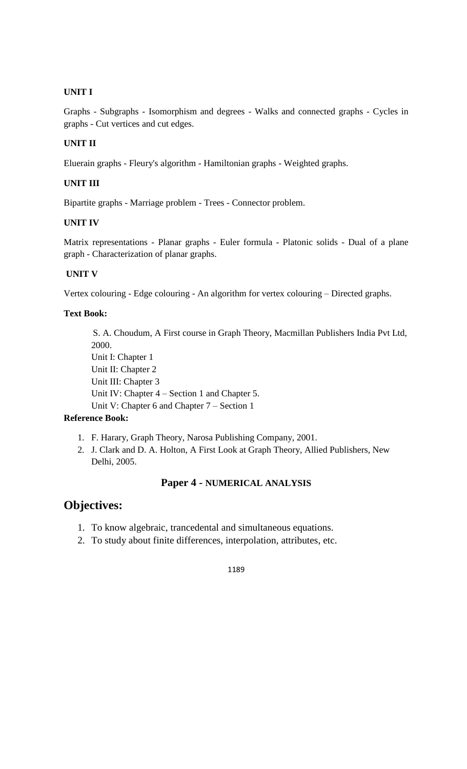Graphs - Subgraphs - Isomorphism and degrees - Walks and connected graphs - Cycles in graphs - Cut vertices and cut edges.

### **UNIT II**

Eluerain graphs - Fleury's algorithm - Hamiltonian graphs - Weighted graphs.

## **UNIT III**

Bipartite graphs - Marriage problem - Trees - Connector problem.

#### **UNIT IV**

Matrix representations - Planar graphs - Euler formula - Platonic solids - Dual of a plane graph - Characterization of planar graphs.

## **UNIT V**

Vertex colouring - Edge colouring - An algorithm for vertex colouring – Directed graphs.

## **Text Book:**

S. A. Choudum, A First course in Graph Theory, Macmillan Publishers India Pvt Ltd, 2000. Unit I: Chapter 1 Unit II: Chapter 2 Unit III: Chapter 3 Unit IV: Chapter 4 – Section 1 and Chapter 5. Unit V: Chapter 6 and Chapter 7 – Section 1

## **Reference Book:**

- 1. F. Harary, Graph Theory, Narosa Publishing Company, 2001.
- 2. J. Clark and D. A. Holton, A First Look at Graph Theory, Allied Publishers, New Delhi, 2005.

## **Paper 4 - NUMERICAL ANALYSIS**

## **Objectives:**

- 1. To know algebraic, trancedental and simultaneous equations.
- 2. To study about finite differences, interpolation, attributes, etc.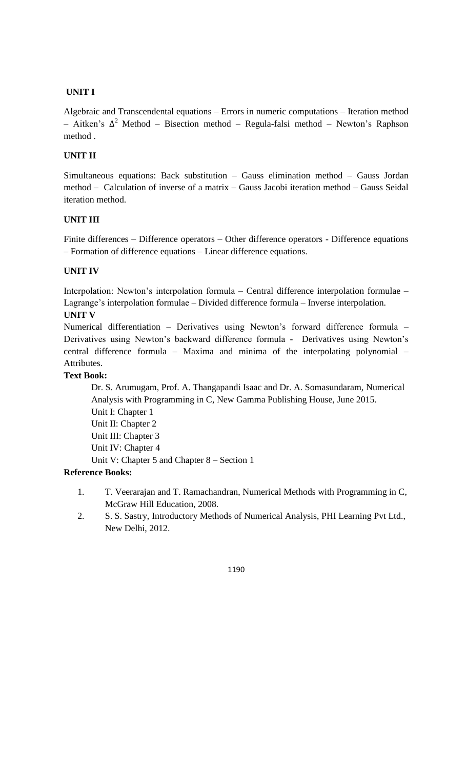Algebraic and Transcendental equations – Errors in numeric computations – Iteration method  $-$  Aitken's Δ<sup>2</sup> Method – Bisection method – Regula-falsi method – Newton's Raphson method .

## **UNIT II**

Simultaneous equations: Back substitution – Gauss elimination method – Gauss Jordan method – Calculation of inverse of a matrix – Gauss Jacobi iteration method – Gauss Seidal iteration method.

## **UNIT III**

Finite differences – Difference operators – Other difference operators - Difference equations – Formation of difference equations – Linear difference equations.

## **UNIT IV**

Interpolation: Newton's interpolation formula – Central difference interpolation formulae – Lagrange's interpolation formulae – Divided difference formula – Inverse interpolation. **UNIT V**

Numerical differentiation – Derivatives using Newton's forward difference formula – Derivatives using Newton's backward difference formula - Derivatives using Newton's central difference formula – Maxima and minima of the interpolating polynomial – Attributes.

## **Text Book:**

Dr. S. Arumugam, Prof. A. Thangapandi Isaac and Dr. A. Somasundaram, Numerical Analysis with Programming in C, New Gamma Publishing House, June 2015. Unit I: Chapter 1 Unit II: Chapter 2 Unit III: Chapter 3 Unit IV: Chapter 4 Unit V: Chapter 5 and Chapter 8 – Section 1

### **Reference Books:**

- 1. T. Veerarajan and T. Ramachandran, Numerical Methods with Programming in C, McGraw Hill Education, 2008.
- 2. S. S. Sastry, Introductory Methods of Numerical Analysis, PHI Learning Pvt Ltd., New Delhi, 2012.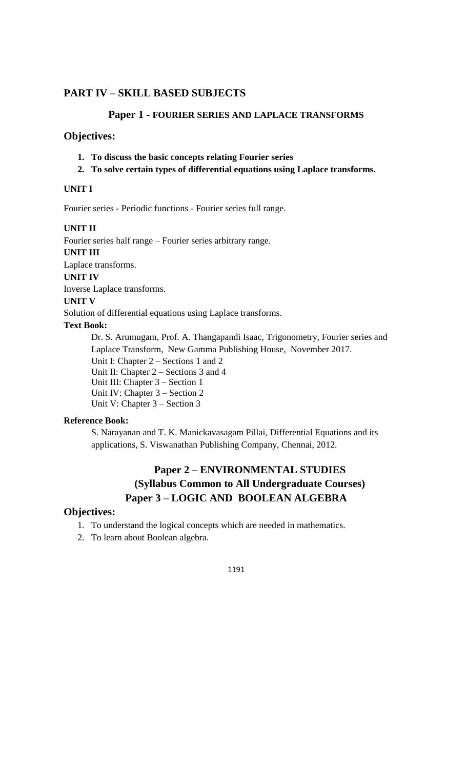## **PART IV – SKILL BASED SUBJECTS**

## **Paper 1 - FOURIER SERIES AND LAPLACE TRANSFORMS**

## **Objectives:**

- **1. To discuss the basic concepts relating Fourier series**
- **2. To solve certain types of differential equations using Laplace transforms.**

#### **UNIT I**

Fourier series - Periodic functions - Fourier series full range.

#### **UNIT II**

Fourier series half range – Fourier series arbitrary range.

**UNIT III**

Laplace transforms.

**UNIT IV**

Inverse Laplace transforms.

**UNIT V**

Solution of differential equations using Laplace transforms.

#### **Text Book:**

Dr. S. Arumugam, Prof. A. Thangapandi Isaac, Trigonometry, Fourier series and Laplace Transform, New Gamma Publishing House, November 2017.

Unit I: Chapter 2 – Sections 1 and 2

Unit II: Chapter 2 – Sections 3 and 4

Unit III: Chapter 3 – Section 1

Unit IV: Chapter 3 – Section 2

Unit V: Chapter 3 – Section 3

## **Reference Book:**

S. Narayanan and T. K. Manickavasagam Pillai, Differential Equations and its applications, S. Viswanathan Publishing Company, Chennai, 2012.

## **Paper 2 – ENVIRONMENTAL STUDIES (Syllabus Common to All Undergraduate Courses) Paper 3 – LOGIC AND BOOLEAN ALGEBRA**

## **Objectives:**

- 1. To understand the logical concepts which are needed in mathematics.
- 2. To learn about Boolean algebra.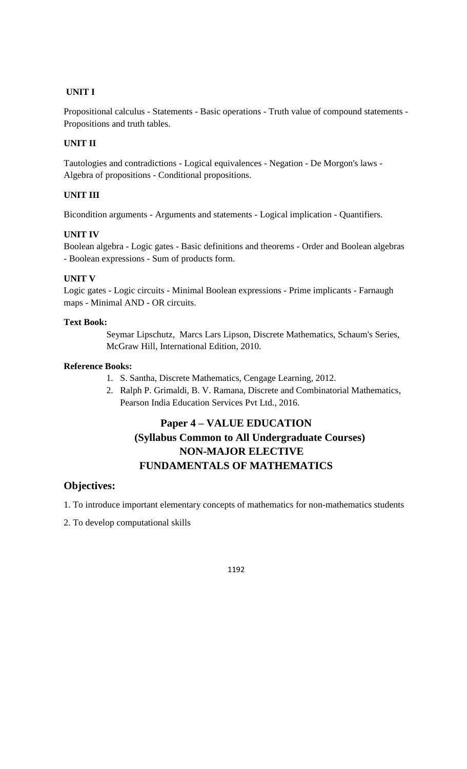Propositional calculus - Statements - Basic operations - Truth value of compound statements - Propositions and truth tables.

## **UNIT II**

Tautologies and contradictions - Logical equivalences - Negation - De Morgon's laws - Algebra of propositions - Conditional propositions.

## **UNIT III**

Bicondition arguments - Arguments and statements - Logical implication - Quantifiers.

## **UNIT IV**

Boolean algebra - Logic gates - Basic definitions and theorems - Order and Boolean algebras - Boolean expressions - Sum of products form.

## **UNIT V**

Logic gates - Logic circuits - Minimal Boolean expressions - Prime implicants - Farnaugh maps - Minimal AND - OR circuits.

#### **Text Book:**

Seymar Lipschutz, Marcs Lars Lipson, Discrete Mathematics, Schaum's Series, McGraw Hill, International Edition, 2010.

#### **Reference Books:**

- 1. S. Santha, Discrete Mathematics, Cengage Learning, 2012.
- 2. Ralph P. Grimaldi, B. V. Ramana, Discrete and Combinatorial Mathematics, Pearson India Education Services Pvt Ltd., 2016.

## **Paper 4 – VALUE EDUCATION (Syllabus Common to All Undergraduate Courses) NON-MAJOR ELECTIVE FUNDAMENTALS OF MATHEMATICS**

## **Objectives:**

1. To introduce important elementary concepts of mathematics for non-mathematics students

2. To develop computational skills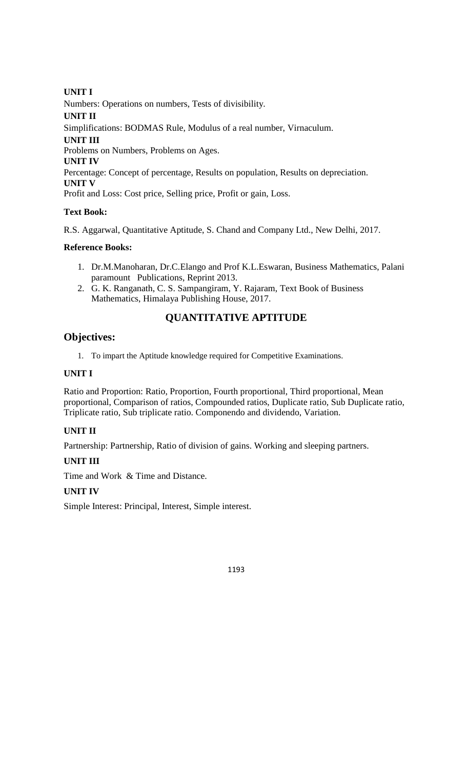Numbers: Operations on numbers, Tests of divisibility.

**UNIT II** 

Simplifications: BODMAS Rule, Modulus of a real number, Virnaculum.

## **UNIT III**

Problems on Numbers, Problems on Ages.

## **UNIT IV**

Percentage: Concept of percentage, Results on population, Results on depreciation.

**UNIT V** 

Profit and Loss: Cost price, Selling price, Profit or gain, Loss.

## **Text Book:**

R.S. Aggarwal, Quantitative Aptitude, S. Chand and Company Ltd., New Delhi, 2017.

## **Reference Books:**

- 1. Dr.M.Manoharan, Dr.C.Elango and Prof K.L.Eswaran, Business Mathematics, Palani paramount Publications, Reprint 2013.
- 2. G. K. Ranganath, C. S. Sampangiram, Y. Rajaram, Text Book of Business Mathematics, Himalaya Publishing House, 2017.

## **QUANTITATIVE APTITUDE**

## **Objectives:**

1. To impart the Aptitude knowledge required for Competitive Examinations.

## **UNIT I**

Ratio and Proportion: Ratio, Proportion, Fourth proportional, Third proportional, Mean proportional, Comparison of ratios, Compounded ratios, Duplicate ratio, Sub Duplicate ratio, Triplicate ratio, Sub triplicate ratio. Componendo and dividendo, Variation.

## **UNIT II**

Partnership: Partnership, Ratio of division of gains. Working and sleeping partners.

## **UNIT III**

Time and Work & Time and Distance.

## **UNIT IV**

Simple Interest: Principal, Interest, Simple interest.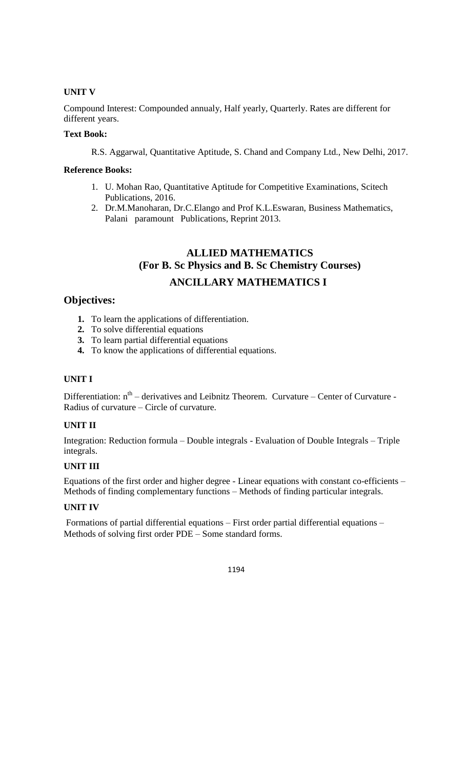## **UNIT V**

Compound Interest: Compounded annualy, Half yearly, Quarterly. Rates are different for different years.

## **Text Book:**

R.S. Aggarwal, Quantitative Aptitude, S. Chand and Company Ltd., New Delhi, 2017.

#### **Reference Books:**

- 1. U. Mohan Rao, Quantitative Aptitude for Competitive Examinations, Scitech Publications, 2016.
- 2. Dr.M.Manoharan, Dr.C.Elango and Prof K.L.Eswaran, Business Mathematics, Palani paramount Publications, Reprint 2013.

## **ALLIED MATHEMATICS (For B. Sc Physics and B. Sc Chemistry Courses) ANCILLARY MATHEMATICS I**

## **Objectives:**

- **1.** To learn the applications of differentiation.
- **2.** To solve differential equations
- **3.** To learn partial differential equations
- **4.** To know the applications of differential equations.

#### **UNIT I**

Differentiation: n<sup>th</sup> – derivatives and Leibnitz Theorem. Curvature – Center of Curvature -Radius of curvature – Circle of curvature.

#### **UNIT II**

Integration: Reduction formula – Double integrals - Evaluation of Double Integrals – Triple integrals.

## **UNIT III**

Equations of the first order and higher degree - Linear equations with constant co-efficients – Methods of finding complementary functions – Methods of finding particular integrals.

#### **UNIT IV**

Formations of partial differential equations – First order partial differential equations – Methods of solving first order PDE – Some standard forms.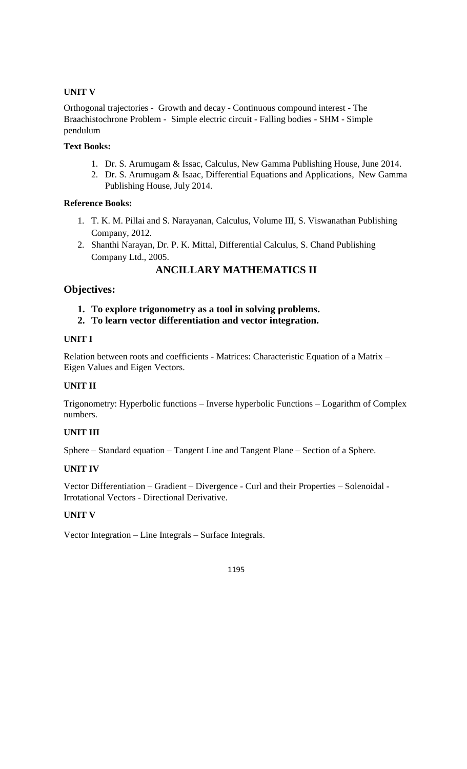## **UNIT V**

Orthogonal trajectories - Growth and decay - Continuous compound interest - The Braachistochrone Problem - Simple electric circuit - Falling bodies - SHM - Simple pendulum

## **Text Books:**

- 1. Dr. S. Arumugam & Issac, Calculus, New Gamma Publishing House, June 2014.
- 2. Dr. S. Arumugam & Isaac, Differential Equations and Applications, New Gamma Publishing House, July 2014.

## **Reference Books:**

- 1. T. K. M. Pillai and S. Narayanan, Calculus, Volume III, S. Viswanathan Publishing Company, 2012.
- 2. Shanthi Narayan, Dr. P. K. Mittal, Differential Calculus, S. Chand Publishing Company Ltd., 2005.

**ANCILLARY MATHEMATICS II**

## **Objectives:**

- **1. To explore trigonometry as a tool in solving problems.**
- **2. To learn vector differentiation and vector integration.**

#### **UNIT I**

Relation between roots and coefficients - Matrices: Characteristic Equation of a Matrix – Eigen Values and Eigen Vectors.

### **UNIT II**

Trigonometry: Hyperbolic functions – Inverse hyperbolic Functions – Logarithm of Complex numbers.

### **UNIT III**

Sphere – Standard equation – Tangent Line and Tangent Plane – Section of a Sphere.

#### **UNIT IV**

Vector Differentiation – Gradient – Divergence - Curl and their Properties – Solenoidal - Irrotational Vectors - Directional Derivative.

#### **UNIT V**

Vector Integration – Line Integrals – Surface Integrals.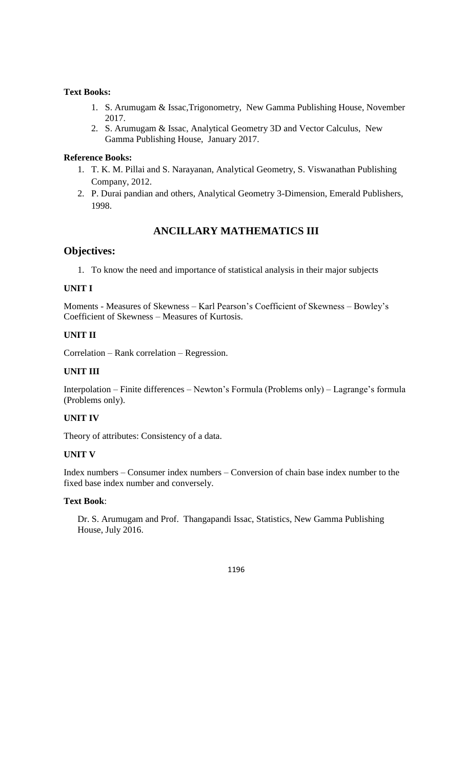#### **Text Books:**

- 1. S. Arumugam & Issac,Trigonometry, New Gamma Publishing House, November 2017.
- 2. S. Arumugam & Issac, Analytical Geometry 3D and Vector Calculus, New Gamma Publishing House, January 2017.

#### **Reference Books:**

- 1. T. K. M. Pillai and S. Narayanan, Analytical Geometry, S. Viswanathan Publishing Company, 2012.
- 2. P. Durai pandian and others, Analytical Geometry 3-Dimension, Emerald Publishers, 1998.

## **ANCILLARY MATHEMATICS III**

## **Objectives:**

1. To know the need and importance of statistical analysis in their major subjects

#### **UNIT I**

Moments - Measures of Skewness – Karl Pearson's Coefficient of Skewness – Bowley's Coefficient of Skewness – Measures of Kurtosis.

## **UNIT II**

Correlation – Rank correlation – Regression.

#### **UNIT III**

Interpolation – Finite differences – Newton's Formula (Problems only) – Lagrange's formula (Problems only).

#### **UNIT IV**

Theory of attributes: Consistency of a data.

#### **UNIT V**

Index numbers – Consumer index numbers – Conversion of chain base index number to the fixed base index number and conversely.

#### **Text Book**:

Dr. S. Arumugam and Prof. Thangapandi Issac, Statistics, New Gamma Publishing House, July 2016.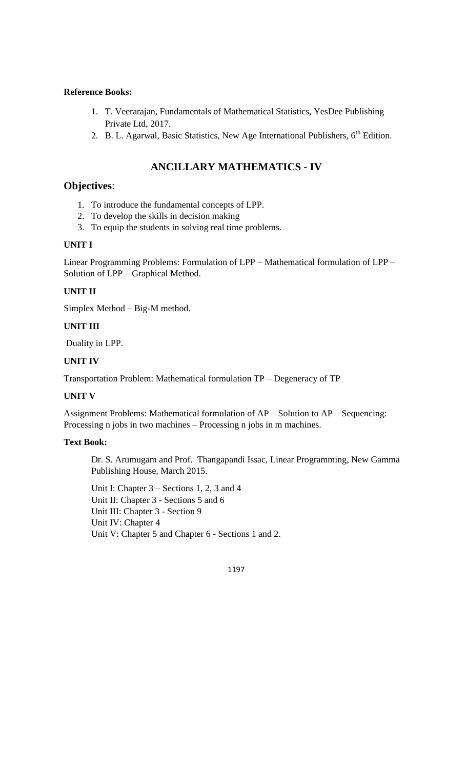- 1. T. Veerarajan, Fundamentals of Mathematical Statistics, YesDee Publishing Private Ltd, 2017.
- 2. B. L. Agarwal, Basic Statistics, New Age International Publishers,  $6<sup>th</sup>$  Edition.

## **ANCILLARY MATHEMATICS - IV**

## **Objectives**:

- 1. To introduce the fundamental concepts of LPP.
- 2. To develop the skills in decision making
- 3. To equip the students in solving real time problems.

#### **UNIT I**

Linear Programming Problems: Formulation of LPP – Mathematical formulation of LPP – Solution of LPP – Graphical Method.

#### **UNIT II**

Simplex Method – Big-M method.

#### **UNIT III**

Duality in LPP.

#### **UNIT IV**

Transportation Problem: Mathematical formulation TP – Degeneracy of TP

#### **UNIT V**

Assignment Problems: Mathematical formulation of AP – Solution to AP – Sequencing: Processing n jobs in two machines – Processing n jobs in m machines.

#### **Text Book:**

Dr. S. Arumugam and Prof. Thangapandi Issac, Linear Programming, New Gamma Publishing House, March 2015.

Unit I: Chapter 3 – Sections 1, 2, 3 and 4 Unit II: Chapter 3 - Sections 5 and 6 Unit III: Chapter 3 - Section 9 Unit IV: Chapter 4 Unit V: Chapter 5 and Chapter 6 - Sections 1 and 2.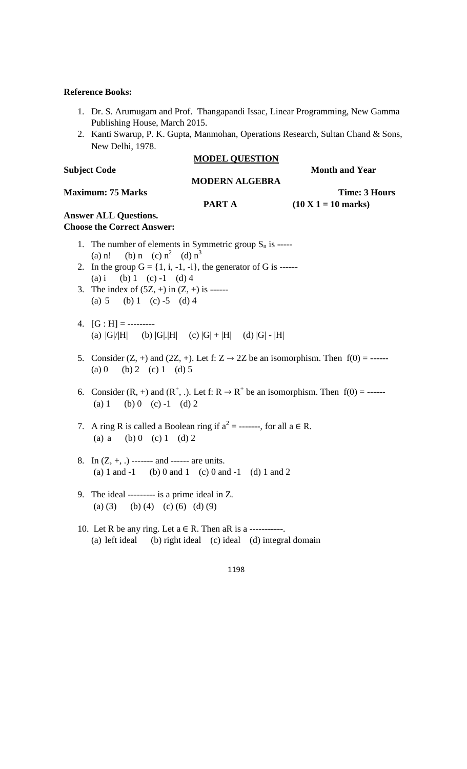- 1. Dr. S. Arumugam and Prof. Thangapandi Issac, Linear Programming, New Gamma Publishing House, March 2015.
- 2. Kanti Swarup, P. K. Gupta, Manmohan, Operations Research, Sultan Chand & Sons, New Delhi, 1978.

#### **MODEL QUESTION**

**Subject Code Month and Year** 

### **MODERN ALGEBRA Maximum: 75 Marks Time: 3 Hours PART A** (10 X 1 = 10 marks) **Answer ALL Questions.**

# **Choose the Correct Answer:**

- 1. The number of elements in Symmetric group  $S_n$  is -----(a) n! (b) n (c)  $n^2$  (d)  $n^3$
- 2. In the group  $G = \{1, i, -1, -i\}$ , the generator of G is ------(a) i (b) 1 (c) -1 (d) 4
- 3. The index of  $(5Z, +)$  in  $(Z, +)$  is ------(a)  $5$  (b)  $1$  (c)  $-5$  (d)  $4$
- 4.  $[G : H] =$ ----------(a)  $|G|/|H|$  (b)  $|G|$ .  $|H|$  (c)  $|G| + |H|$  (d)  $|G| - |H|$
- 5. Consider  $(Z, +)$  and  $(2Z, +)$ . Let f:  $Z \rightarrow 2Z$  be an isomorphism. Then  $f(0) =$  ------(a) 0 (b) 2 (c) 1 (d) 5
- 6. Consider  $(R, +)$  and  $(R^+, \cdot)$ . Let f:  $R \to R^+$  be an isomorphism. Then  $f(0) =$  ------(a)  $1$  (b)  $0$  (c)  $-1$  (d)  $2$
- 7. A ring R is called a Boolean ring if  $a^2 =$  -------, for all  $a \in R$ . (a) a (b) 0 (c) 1 (d) 2
- 8. In  $(Z, +, .)$  ------- and ------ are units. (a) 1 and -1 (b) 0 and 1 (c) 0 and -1 (d) 1 and 2
- 9. The ideal --------- is a prime ideal in Z. (a) (3) (b) (4) (c) (6) (d) (9)
- 10. Let R be any ring. Let  $a \in R$ . Then aR is a -----------. (a) left ideal (b) right ideal (c) ideal (d) integral domain